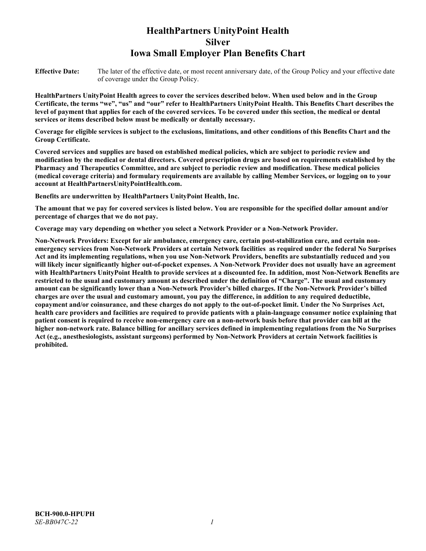# **HealthPartners UnityPoint Health Silver Iowa Small Employer Plan Benefits Chart**

**Effective Date:** The later of the effective date, or most recent anniversary date, of the Group Policy and your effective date of coverage under the Group Policy.

**HealthPartners UnityPoint Health agrees to cover the services described below. When used below and in the Group Certificate, the terms "we", "us" and "our" refer to HealthPartners UnityPoint Health. This Benefits Chart describes the level of payment that applies for each of the covered services. To be covered under this section, the medical or dental services or items described below must be medically or dentally necessary.**

**Coverage for eligible services is subject to the exclusions, limitations, and other conditions of this Benefits Chart and the Group Certificate.** 

**Covered services and supplies are based on established medical policies, which are subject to periodic review and modification by the medical or dental directors. Covered prescription drugs are based on requirements established by the Pharmacy and Therapeutics Committee, and are subject to periodic review and modification. These medical policies (medical coverage criteria) and formulary requirements are available by calling Member Services, or logging on to your account at [HealthPartnersUnityPointHealth.com.](https://www.healthpartnersunitypointhealth.com/)**

**Benefits are underwritten by HealthPartners UnityPoint Health, Inc.**

**The amount that we pay for covered services is listed below. You are responsible for the specified dollar amount and/or percentage of charges that we do not pay.**

**Coverage may vary depending on whether you select a Network Provider or a Non-Network Provider.**

**Non-Network Providers: Except for air ambulance, emergency care, certain post-stabilization care, and certain nonemergency services from Non-Network Providers at certain Network facilities as required under the federal No Surprises Act and its implementing regulations, when you use Non-Network Providers, benefits are substantially reduced and you will likely incur significantly higher out-of-pocket expenses. A Non-Network Provider does not usually have an agreement with HealthPartners UnityPoint Health to provide services at a discounted fee. In addition, most Non-Network Benefits are restricted to the usual and customary amount as described under the definition of "Charge". The usual and customary amount can be significantly lower than a Non-Network Provider's billed charges. If the Non-Network Provider's billed charges are over the usual and customary amount, you pay the difference, in addition to any required deductible, copayment and/or coinsurance, and these charges do not apply to the out-of-pocket limit. Under the No Surprises Act, health care providers and facilities are required to provide patients with a plain-language consumer notice explaining that patient consent is required to receive non-emergency care on a non-network basis before that provider can bill at the higher non-network rate. Balance billing for ancillary services defined in implementing regulations from the No Surprises Act (e.g., anesthesiologists, assistant surgeons) performed by Non-Network Providers at certain Network facilities is prohibited.**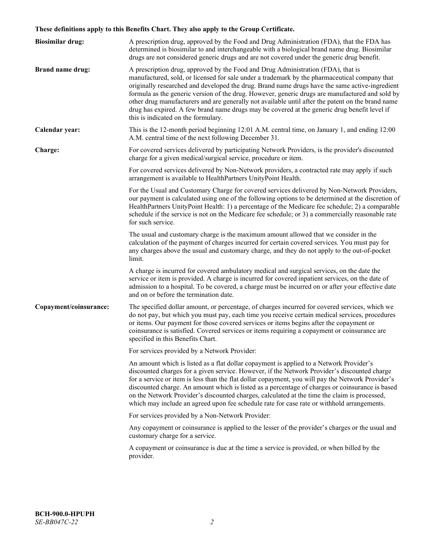# **These definitions apply to this Benefits Chart. They also apply to the Group Certificate.**

| <b>Biosimilar drug:</b> | A prescription drug, approved by the Food and Drug Administration (FDA), that the FDA has<br>determined is biosimilar to and interchangeable with a biological brand name drug. Biosimilar<br>drugs are not considered generic drugs and are not covered under the generic drug benefit.                                                                                                                                                                                                                                                                                                                                           |
|-------------------------|------------------------------------------------------------------------------------------------------------------------------------------------------------------------------------------------------------------------------------------------------------------------------------------------------------------------------------------------------------------------------------------------------------------------------------------------------------------------------------------------------------------------------------------------------------------------------------------------------------------------------------|
| <b>Brand name drug:</b> | A prescription drug, approved by the Food and Drug Administration (FDA), that is<br>manufactured, sold, or licensed for sale under a trademark by the pharmaceutical company that<br>originally researched and developed the drug. Brand name drugs have the same active-ingredient<br>formula as the generic version of the drug. However, generic drugs are manufactured and sold by<br>other drug manufacturers and are generally not available until after the patent on the brand name<br>drug has expired. A few brand name drugs may be covered at the generic drug benefit level if<br>this is indicated on the formulary. |
| Calendar year:          | This is the 12-month period beginning 12:01 A.M. central time, on January 1, and ending 12:00<br>A.M. central time of the next following December 31.                                                                                                                                                                                                                                                                                                                                                                                                                                                                              |
| Charge:                 | For covered services delivered by participating Network Providers, is the provider's discounted<br>charge for a given medical/surgical service, procedure or item.                                                                                                                                                                                                                                                                                                                                                                                                                                                                 |
|                         | For covered services delivered by Non-Network providers, a contracted rate may apply if such<br>arrangement is available to HealthPartners UnityPoint Health.                                                                                                                                                                                                                                                                                                                                                                                                                                                                      |
|                         | For the Usual and Customary Charge for covered services delivered by Non-Network Providers,<br>our payment is calculated using one of the following options to be determined at the discretion of<br>HealthPartners UnityPoint Health: 1) a percentage of the Medicare fee schedule; 2) a comparable<br>schedule if the service is not on the Medicare fee schedule; or 3) a commercially reasonable rate<br>for such service.                                                                                                                                                                                                     |
|                         | The usual and customary charge is the maximum amount allowed that we consider in the<br>calculation of the payment of charges incurred for certain covered services. You must pay for<br>any charges above the usual and customary charge, and they do not apply to the out-of-pocket<br>limit.                                                                                                                                                                                                                                                                                                                                    |
|                         | A charge is incurred for covered ambulatory medical and surgical services, on the date the<br>service or item is provided. A charge is incurred for covered inpatient services, on the date of<br>admission to a hospital. To be covered, a charge must be incurred on or after your effective date<br>and on or before the termination date.                                                                                                                                                                                                                                                                                      |
| Copayment/coinsurance:  | The specified dollar amount, or percentage, of charges incurred for covered services, which we<br>do not pay, but which you must pay, each time you receive certain medical services, procedures<br>or items. Our payment for those covered services or items begins after the copayment or<br>coinsurance is satisfied. Covered services or items requiring a copayment or coinsurance are<br>specified in this Benefits Chart.                                                                                                                                                                                                   |
|                         | For services provided by a Network Provider:                                                                                                                                                                                                                                                                                                                                                                                                                                                                                                                                                                                       |
|                         | An amount which is listed as a flat dollar copayment is applied to a Network Provider's<br>discounted charges for a given service. However, if the Network Provider's discounted charge<br>for a service or item is less than the flat dollar copayment, you will pay the Network Provider's<br>discounted charge. An amount which is listed as a percentage of charges or coinsurance is based<br>on the Network Provider's discounted charges, calculated at the time the claim is processed,<br>which may include an agreed upon fee schedule rate for case rate or withhold arrangements.                                      |
|                         | For services provided by a Non-Network Provider:                                                                                                                                                                                                                                                                                                                                                                                                                                                                                                                                                                                   |
|                         | Any copayment or coinsurance is applied to the lesser of the provider's charges or the usual and<br>customary charge for a service.                                                                                                                                                                                                                                                                                                                                                                                                                                                                                                |
|                         | A copayment or coinsurance is due at the time a service is provided, or when billed by the<br>provider.                                                                                                                                                                                                                                                                                                                                                                                                                                                                                                                            |
|                         |                                                                                                                                                                                                                                                                                                                                                                                                                                                                                                                                                                                                                                    |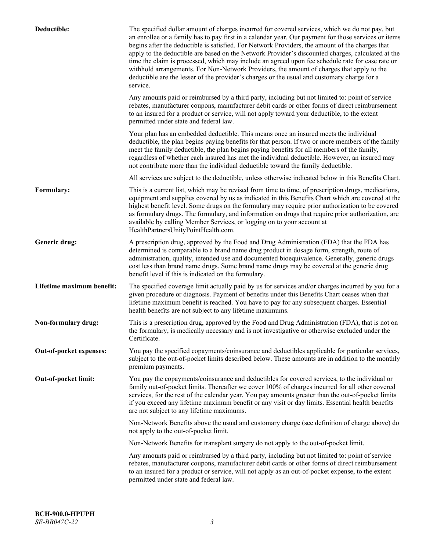| Deductible:               | The specified dollar amount of charges incurred for covered services, which we do not pay, but<br>an enrollee or a family has to pay first in a calendar year. Our payment for those services or items<br>begins after the deductible is satisfied. For Network Providers, the amount of the charges that<br>apply to the deductible are based on the Network Provider's discounted charges, calculated at the<br>time the claim is processed, which may include an agreed upon fee schedule rate for case rate or<br>withhold arrangements. For Non-Network Providers, the amount of charges that apply to the<br>deductible are the lesser of the provider's charges or the usual and customary charge for a<br>service. |
|---------------------------|----------------------------------------------------------------------------------------------------------------------------------------------------------------------------------------------------------------------------------------------------------------------------------------------------------------------------------------------------------------------------------------------------------------------------------------------------------------------------------------------------------------------------------------------------------------------------------------------------------------------------------------------------------------------------------------------------------------------------|
|                           | Any amounts paid or reimbursed by a third party, including but not limited to: point of service<br>rebates, manufacturer coupons, manufacturer debit cards or other forms of direct reimbursement<br>to an insured for a product or service, will not apply toward your deductible, to the extent<br>permitted under state and federal law.                                                                                                                                                                                                                                                                                                                                                                                |
|                           | Your plan has an embedded deductible. This means once an insured meets the individual<br>deductible, the plan begins paying benefits for that person. If two or more members of the family<br>meet the family deductible, the plan begins paying benefits for all members of the family,<br>regardless of whether each insured has met the individual deductible. However, an insured may<br>not contribute more than the individual deductible toward the family deductible.                                                                                                                                                                                                                                              |
|                           | All services are subject to the deductible, unless otherwise indicated below in this Benefits Chart.                                                                                                                                                                                                                                                                                                                                                                                                                                                                                                                                                                                                                       |
| Formulary:                | This is a current list, which may be revised from time to time, of prescription drugs, medications,<br>equipment and supplies covered by us as indicated in this Benefits Chart which are covered at the<br>highest benefit level. Some drugs on the formulary may require prior authorization to be covered<br>as formulary drugs. The formulary, and information on drugs that require prior authorization, are<br>available by calling Member Services, or logging on to your account at<br>HealthPartnersUnityPointHealth.com.                                                                                                                                                                                         |
| Generic drug:             | A prescription drug, approved by the Food and Drug Administration (FDA) that the FDA has<br>determined is comparable to a brand name drug product in dosage form, strength, route of<br>administration, quality, intended use and documented bioequivalence. Generally, generic drugs<br>cost less than brand name drugs. Some brand name drugs may be covered at the generic drug<br>benefit level if this is indicated on the formulary.                                                                                                                                                                                                                                                                                 |
| Lifetime maximum benefit: | The specified coverage limit actually paid by us for services and/or charges incurred by you for a<br>given procedure or diagnosis. Payment of benefits under this Benefits Chart ceases when that<br>lifetime maximum benefit is reached. You have to pay for any subsequent charges. Essential<br>health benefits are not subject to any lifetime maximums.                                                                                                                                                                                                                                                                                                                                                              |
| Non-formulary drug:       | This is a prescription drug, approved by the Food and Drug Administration (FDA), that is not on<br>the formulary, is medically necessary and is not investigative or otherwise excluded under the<br>Certificate.                                                                                                                                                                                                                                                                                                                                                                                                                                                                                                          |
| Out-of-pocket expenses:   | You pay the specified copayments/coinsurance and deductibles applicable for particular services,<br>subject to the out-of-pocket limits described below. These amounts are in addition to the monthly<br>premium payments.                                                                                                                                                                                                                                                                                                                                                                                                                                                                                                 |
| Out-of-pocket limit:      | You pay the copayments/coinsurance and deductibles for covered services, to the individual or<br>family out-of-pocket limits. Thereafter we cover 100% of charges incurred for all other covered<br>services, for the rest of the calendar year. You pay amounts greater than the out-of-pocket limits<br>if you exceed any lifetime maximum benefit or any visit or day limits. Essential health benefits<br>are not subject to any lifetime maximums.                                                                                                                                                                                                                                                                    |
|                           | Non-Network Benefits above the usual and customary charge (see definition of charge above) do<br>not apply to the out-of-pocket limit.                                                                                                                                                                                                                                                                                                                                                                                                                                                                                                                                                                                     |
|                           | Non-Network Benefits for transplant surgery do not apply to the out-of-pocket limit.                                                                                                                                                                                                                                                                                                                                                                                                                                                                                                                                                                                                                                       |
|                           | Any amounts paid or reimbursed by a third party, including but not limited to: point of service<br>rebates, manufacturer coupons, manufacturer debit cards or other forms of direct reimbursement<br>to an insured for a product or service, will not apply as an out-of-pocket expense, to the extent<br>permitted under state and federal law.                                                                                                                                                                                                                                                                                                                                                                           |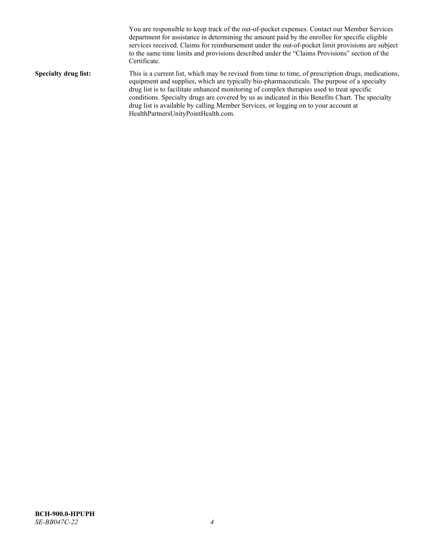You are responsible to keep track of the out-of-pocket expenses. Contact our Member Services department for assistance in determining the amount paid by the enrollee for specific eligible services received. Claims for reimbursement under the out-of-pocket limit provisions are subject to the same time limits and provisions described under the "Claims Provisions" section of the Certificate. **Specialty drug list:** This is a current list, which may be revised from time to time, of prescription drugs, medications, equipment and supplies, which are typically bio-pharmaceuticals. The purpose of a specialty drug list is to facilitate enhanced monitoring of complex therapies used to treat specific conditions. Specialty drugs are covered by us as indicated in this Benefits Chart. The specialty drug list is available by calling Member Services, or logging on to your account at [HealthPartnersUnityPointHealth.com.](https://www.healthpartnersunitypointhealth.com/)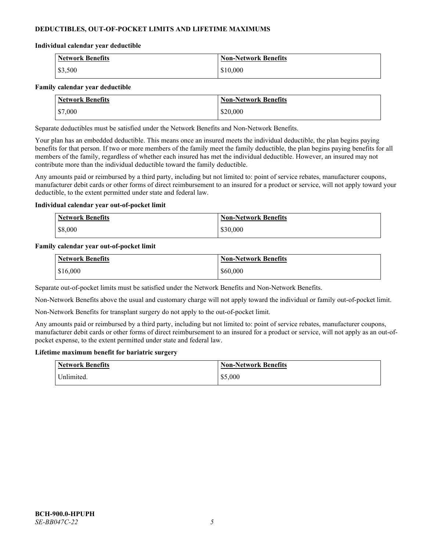# **DEDUCTIBLES, OUT-OF-POCKET LIMITS AND LIFETIME MAXIMUMS**

### **Individual calendar year deductible**

| <b>Network Benefits</b> | <b>Non-Network Benefits</b> |
|-------------------------|-----------------------------|
| \$3,500                 | \$10,000                    |

### **Family calendar year deductible**

| <b>Network Benefits</b> | <b>Non-Network Benefits</b> |
|-------------------------|-----------------------------|
| \$7,000                 | \$20,000                    |

Separate deductibles must be satisfied under the Network Benefits and Non-Network Benefits.

Your plan has an embedded deductible. This means once an insured meets the individual deductible, the plan begins paying benefits for that person. If two or more members of the family meet the family deductible, the plan begins paying benefits for all members of the family, regardless of whether each insured has met the individual deductible. However, an insured may not contribute more than the individual deductible toward the family deductible.

Any amounts paid or reimbursed by a third party, including but not limited to: point of service rebates, manufacturer coupons, manufacturer debit cards or other forms of direct reimbursement to an insured for a product or service, will not apply toward your deductible, to the extent permitted under state and federal law.

### **Individual calendar year out-of-pocket limit**

| <b>Network Benefits</b> | <b>Non-Network Benefits</b> |
|-------------------------|-----------------------------|
| \$8,000                 | \$30,000                    |

### **Family calendar year out-of-pocket limit**

| <b>Network Benefits</b> | <b>Non-Network Benefits</b> |
|-------------------------|-----------------------------|
| \$16,000                | \$60,000                    |

Separate out-of-pocket limits must be satisfied under the Network Benefits and Non-Network Benefits.

Non-Network Benefits above the usual and customary charge will not apply toward the individual or family out-of-pocket limit.

Non-Network Benefits for transplant surgery do not apply to the out-of-pocket limit.

Any amounts paid or reimbursed by a third party, including but not limited to: point of service rebates, manufacturer coupons, manufacturer debit cards or other forms of direct reimbursement to an insured for a product or service, will not apply as an out-ofpocket expense, to the extent permitted under state and federal law.

#### **Lifetime maximum benefit for bariatric surgery**

| <b>Network Benefits</b> | <b>Non-Network Benefits</b> |
|-------------------------|-----------------------------|
| <sup>I</sup> Inlimited. | \$5,000                     |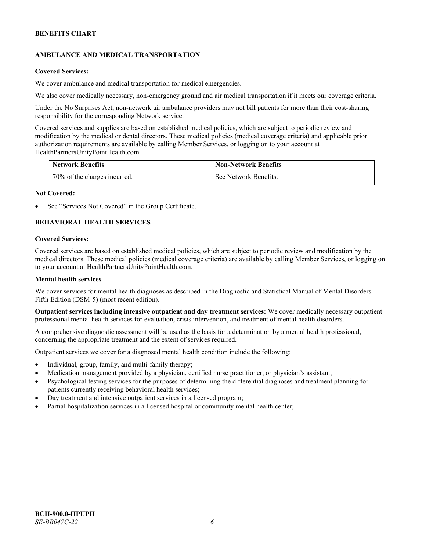# **AMBULANCE AND MEDICAL TRANSPORTATION**

### **Covered Services:**

We cover ambulance and medical transportation for medical emergencies.

We also cover medically necessary, non-emergency ground and air medical transportation if it meets our coverage criteria.

Under the No Surprises Act, non-network air ambulance providers may not bill patients for more than their cost-sharing responsibility for the corresponding Network service.

Covered services and supplies are based on established medical policies, which are subject to periodic review and modification by the medical or dental directors. These medical policies (medical coverage criteria) and applicable prior authorization requirements are available by calling Member Services, or logging on to your account at [HealthPartnersUnityPointHealth.com.](https://www.healthpartnersunitypointhealth.com/)

| <b>Network Benefits</b>      | <b>Non-Network Benefits</b> |
|------------------------------|-----------------------------|
| 70% of the charges incurred. | See Network Benefits.       |

### **Not Covered:**

See "Services Not Covered" in the Group Certificate.

# **BEHAVIORAL HEALTH SERVICES**

### **Covered Services:**

Covered services are based on established medical policies, which are subject to periodic review and modification by the medical directors. These medical policies (medical coverage criteria) are available by calling Member Services, or logging on to your account at [HealthPartnersUnityPointHealth.com.](https://www.healthpartnersunitypointhealth.com/)

### **Mental health services**

We cover services for mental health diagnoses as described in the Diagnostic and Statistical Manual of Mental Disorders – Fifth Edition (DSM-5) (most recent edition).

**Outpatient services including intensive outpatient and day treatment services:** We cover medically necessary outpatient professional mental health services for evaluation, crisis intervention, and treatment of mental health disorders.

A comprehensive diagnostic assessment will be used as the basis for a determination by a mental health professional, concerning the appropriate treatment and the extent of services required.

Outpatient services we cover for a diagnosed mental health condition include the following:

- Individual, group, family, and multi-family therapy;
- Medication management provided by a physician, certified nurse practitioner, or physician's assistant;
- Psychological testing services for the purposes of determining the differential diagnoses and treatment planning for patients currently receiving behavioral health services;
- Day treatment and intensive outpatient services in a licensed program;
- Partial hospitalization services in a licensed hospital or community mental health center;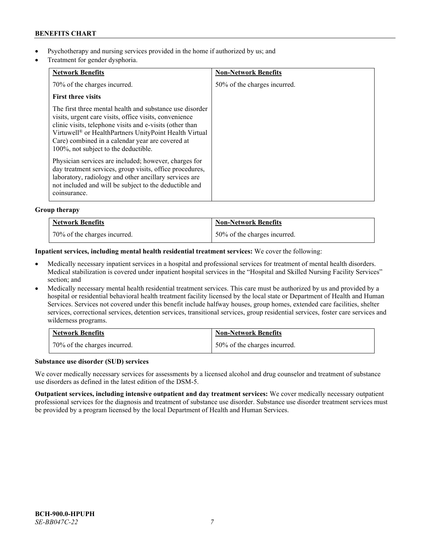- Psychotherapy and nursing services provided in the home if authorized by us; and
- Treatment for gender dysphoria.

| <b>Network Benefits</b>                                                                                                                                                                                                                                                                                                                          | <b>Non-Network Benefits</b>  |
|--------------------------------------------------------------------------------------------------------------------------------------------------------------------------------------------------------------------------------------------------------------------------------------------------------------------------------------------------|------------------------------|
| 70% of the charges incurred.                                                                                                                                                                                                                                                                                                                     | 50% of the charges incurred. |
| <b>First three visits</b>                                                                                                                                                                                                                                                                                                                        |                              |
| The first three mental health and substance use disorder<br>visits, urgent care visits, office visits, convenience<br>clinic visits, telephone visits and e-visits (other than<br>Virtuwell <sup>®</sup> or HealthPartners UnityPoint Health Virtual<br>Care) combined in a calendar year are covered at<br>100%, not subject to the deductible. |                              |
| Physician services are included; however, charges for<br>day treatment services, group visits, office procedures,<br>laboratory, radiology and other ancillary services are<br>not included and will be subject to the deductible and<br>coinsurance.                                                                                            |                              |

# **Group therapy**

| Network Benefits             | <b>Non-Network Benefits</b>  |
|------------------------------|------------------------------|
| 70% of the charges incurred. | 50% of the charges incurred. |

# **Inpatient services, including mental health residential treatment services:** We cover the following:

- Medically necessary inpatient services in a hospital and professional services for treatment of mental health disorders. Medical stabilization is covered under inpatient hospital services in the "Hospital and Skilled Nursing Facility Services" section; and
- Medically necessary mental health residential treatment services. This care must be authorized by us and provided by a hospital or residential behavioral health treatment facility licensed by the local state or Department of Health and Human Services. Services not covered under this benefit include halfway houses, group homes, extended care facilities, shelter services, correctional services, detention services, transitional services, group residential services, foster care services and wilderness programs.

| <b>Network Benefits</b>      | Non-Network Benefits         |
|------------------------------|------------------------------|
| 70% of the charges incurred. | 50% of the charges incurred. |

# **Substance use disorder (SUD) services**

We cover medically necessary services for assessments by a licensed alcohol and drug counselor and treatment of substance use disorders as defined in the latest edition of the DSM-5.

**Outpatient services, including intensive outpatient and day treatment services:** We cover medically necessary outpatient professional services for the diagnosis and treatment of substance use disorder. Substance use disorder treatment services must be provided by a program licensed by the local Department of Health and Human Services.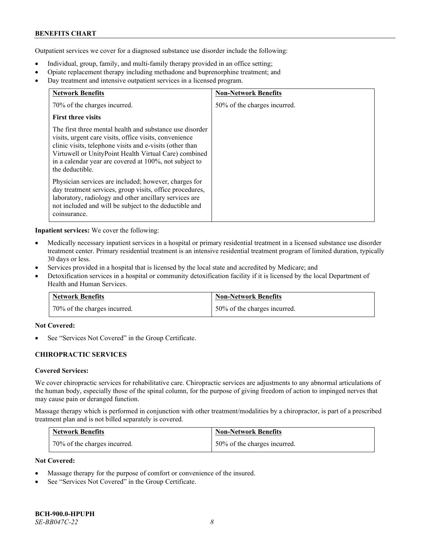Outpatient services we cover for a diagnosed substance use disorder include the following:

- Individual, group, family, and multi-family therapy provided in an office setting;
- Opiate replacement therapy including methadone and buprenorphine treatment; and
- Day treatment and intensive outpatient services in a licensed program.

| <b>Network Benefits</b>                                                                                                                                                                                                                                                                                              | <b>Non-Network Benefits</b>  |
|----------------------------------------------------------------------------------------------------------------------------------------------------------------------------------------------------------------------------------------------------------------------------------------------------------------------|------------------------------|
| 70% of the charges incurred.                                                                                                                                                                                                                                                                                         | 50% of the charges incurred. |
| <b>First three visits</b>                                                                                                                                                                                                                                                                                            |                              |
| The first three mental health and substance use disorder<br>visits, urgent care visits, office visits, convenience<br>clinic visits, telephone visits and e-visits (other than<br>Virtuwell or UnityPoint Health Virtual Care) combined<br>in a calendar year are covered at 100%, not subject to<br>the deductible. |                              |
| Physician services are included; however, charges for<br>day treatment services, group visits, office procedures,<br>laboratory, radiology and other ancillary services are<br>not included and will be subject to the deductible and<br>coinsurance.                                                                |                              |

**Inpatient services:** We cover the following:

- Medically necessary inpatient services in a hospital or primary residential treatment in a licensed substance use disorder treatment center. Primary residential treatment is an intensive residential treatment program of limited duration, typically 30 days or less.
- Services provided in a hospital that is licensed by the local state and accredited by Medicare; and
- Detoxification services in a hospital or community detoxification facility if it is licensed by the local Department of Health and Human Services.

| <b>Network Benefits</b>      | <b>Non-Network Benefits</b>  |
|------------------------------|------------------------------|
| 70% of the charges incurred. | 50% of the charges incurred. |

# **Not Covered:**

See "Services Not Covered" in the Group Certificate.

# **CHIROPRACTIC SERVICES**

# **Covered Services:**

We cover chiropractic services for rehabilitative care. Chiropractic services are adjustments to any abnormal articulations of the human body, especially those of the spinal column, for the purpose of giving freedom of action to impinged nerves that may cause pain or deranged function.

Massage therapy which is performed in conjunction with other treatment/modalities by a chiropractor, is part of a prescribed treatment plan and is not billed separately is covered.

| <b>Network Benefits</b>      | <b>Non-Network Benefits</b>  |
|------------------------------|------------------------------|
| 70% of the charges incurred. | 50% of the charges incurred. |

# **Not Covered:**

- Massage therapy for the purpose of comfort or convenience of the insured.
- See "Services Not Covered" in the Group Certificate.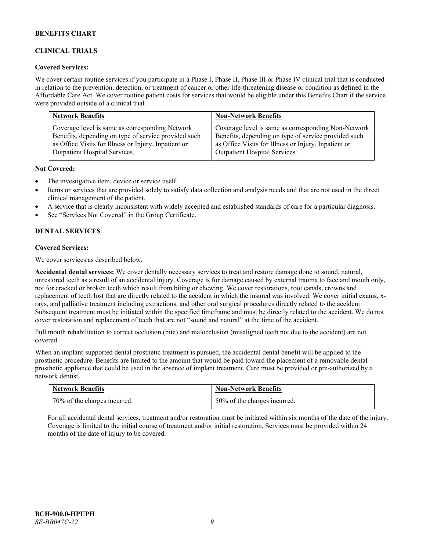# **CLINICAL TRIALS**

# **Covered Services:**

We cover certain routine services if you participate in a Phase I, Phase II, Phase III or Phase IV clinical trial that is conducted in relation to the prevention, detection, or treatment of cancer or other life-threatening disease or condition as defined in the Affordable Care Act. We cover routine patient costs for services that would be eligible under this Benefits Chart if the service were provided outside of a clinical trial.

| <b>Network Benefits</b>                              | <b>Non-Network Benefits</b>                          |
|------------------------------------------------------|------------------------------------------------------|
| Coverage level is same as corresponding Network      | Coverage level is same as corresponding Non-Network  |
| Benefits, depending on type of service provided such | Benefits, depending on type of service provided such |
| as Office Visits for Illness or Injury, Inpatient or | as Office Visits for Illness or Injury, Inpatient or |
| Outpatient Hospital Services.                        | Outpatient Hospital Services.                        |

### **Not Covered:**

- The investigative item, device or service itself.
- Items or services that are provided solely to satisfy data collection and analysis needs and that are not used in the direct clinical management of the patient.
- A service that is clearly inconsistent with widely accepted and established standards of care for a particular diagnosis.
- See "Services Not Covered" in the Group Certificate.

# **DENTAL SERVICES**

# **Covered Services:**

We cover services as described below.

**Accidental dental services:** We cover dentally necessary services to treat and restore damage done to sound, natural, unrestored teeth as a result of an accidental injury. Coverage is for damage caused by external trauma to face and mouth only, not for cracked or broken teeth which result from biting or chewing. We cover restorations, root canals, crowns and replacement of teeth lost that are directly related to the accident in which the insured was involved. We cover initial exams, xrays, and palliative treatment including extractions, and other oral surgical procedures directly related to the accident. Subsequent treatment must be initiated within the specified timeframe and must be directly related to the accident. We do not cover restoration and replacement of teeth that are not "sound and natural" at the time of the accident.

Full mouth rehabilitation to correct occlusion (bite) and malocclusion (misaligned teeth not due to the accident) are not covered.

When an implant-supported dental prosthetic treatment is pursued, the accidental dental benefit will be applied to the prosthetic procedure. Benefits are limited to the amount that would be paid toward the placement of a removable dental prosthetic appliance that could be used in the absence of implant treatment. Care must be provided or pre-authorized by a network dentist.

| <b>Network Benefits</b>      | <b>Non-Network Benefits</b>  |
|------------------------------|------------------------------|
| 70% of the charges incurred. | 50% of the charges incurred. |

For all accidental dental services, treatment and/or restoration must be initiated within six months of the date of the injury. Coverage is limited to the initial course of treatment and/or initial restoration. Services must be provided within 24 months of the date of injury to be covered.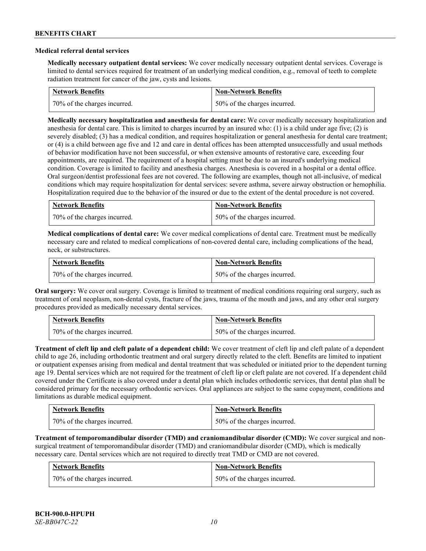#### **Medical referral dental services**

**Medically necessary outpatient dental services:** We cover medically necessary outpatient dental services. Coverage is limited to dental services required for treatment of an underlying medical condition, e.g., removal of teeth to complete radiation treatment for cancer of the jaw, cysts and lesions.

| <b>Network Benefits</b>      | <b>Non-Network Benefits</b>  |
|------------------------------|------------------------------|
| 70% of the charges incurred. | 50% of the charges incurred. |

**Medically necessary hospitalization and anesthesia for dental care:** We cover medically necessary hospitalization and anesthesia for dental care. This is limited to charges incurred by an insured who: (1) is a child under age five; (2) is severely disabled; (3) has a medical condition, and requires hospitalization or general anesthesia for dental care treatment; or (4) is a child between age five and 12 and care in dental offices has been attempted unsuccessfully and usual methods of behavior modification have not been successful, or when extensive amounts of restorative care, exceeding four appointments, are required. The requirement of a hospital setting must be due to an insured's underlying medical condition. Coverage is limited to facility and anesthesia charges. Anesthesia is covered in a hospital or a dental office. Oral surgeon/dentist professional fees are not covered. The following are examples, though not all-inclusive, of medical conditions which may require hospitalization for dental services: severe asthma, severe airway obstruction or hemophilia. Hospitalization required due to the behavior of the insured or due to the extent of the dental procedure is not covered.

| <b>Network Benefits</b>      | <b>Non-Network Benefits</b>  |
|------------------------------|------------------------------|
| 70% of the charges incurred. | 50% of the charges incurred. |

**Medical complications of dental care:** We cover medical complications of dental care. Treatment must be medically necessary care and related to medical complications of non-covered dental care, including complications of the head, neck, or substructures.

| <b>Network Benefits</b>      | <b>Non-Network Benefits</b>  |
|------------------------------|------------------------------|
| 70% of the charges incurred. | 50% of the charges incurred. |

**Oral surgery:** We cover oral surgery. Coverage is limited to treatment of medical conditions requiring oral surgery, such as treatment of oral neoplasm, non-dental cysts, fracture of the jaws, trauma of the mouth and jaws, and any other oral surgery procedures provided as medically necessary dental services.

| <b>Network Benefits</b>      | <b>Non-Network Benefits</b>  |
|------------------------------|------------------------------|
| 70% of the charges incurred. | 50% of the charges incurred. |

**Treatment of cleft lip and cleft palate of a dependent child:** We cover treatment of cleft lip and cleft palate of a dependent child to age 26, including orthodontic treatment and oral surgery directly related to the cleft. Benefits are limited to inpatient or outpatient expenses arising from medical and dental treatment that was scheduled or initiated prior to the dependent turning age 19. Dental services which are not required for the treatment of cleft lip or cleft palate are not covered. If a dependent child covered under the Certificate is also covered under a dental plan which includes orthodontic services, that dental plan shall be considered primary for the necessary orthodontic services. Oral appliances are subject to the same copayment, conditions and limitations as durable medical equipment.

| <b>Network Benefits</b>      | <b>Non-Network Benefits</b>  |
|------------------------------|------------------------------|
| 70% of the charges incurred. | 50% of the charges incurred. |

**Treatment of temporomandibular disorder (TMD) and craniomandibular disorder (CMD):** We cover surgical and nonsurgical treatment of temporomandibular disorder (TMD) and craniomandibular disorder (CMD), which is medically necessary care. Dental services which are not required to directly treat TMD or CMD are not covered.

| <b>Network Benefits</b>      | <b>Non-Network Benefits</b>  |
|------------------------------|------------------------------|
| 70% of the charges incurred. | 50% of the charges incurred. |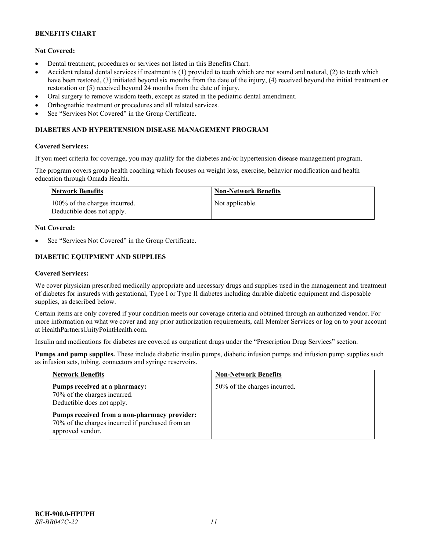# **Not Covered:**

- Dental treatment, procedures or services not listed in this Benefits Chart.
- Accident related dental services if treatment is (1) provided to teeth which are not sound and natural, (2) to teeth which have been restored, (3) initiated beyond six months from the date of the injury, (4) received beyond the initial treatment or restoration or (5) received beyond 24 months from the date of injury.
- Oral surgery to remove wisdom teeth, except as stated in the pediatric dental amendment.
- Orthognathic treatment or procedures and all related services.
- See "Services Not Covered" in the Group Certificate.

# **DIABETES AND HYPERTENSION DISEASE MANAGEMENT PROGRAM**

# **Covered Services:**

If you meet criteria for coverage, you may qualify for the diabetes and/or hypertension disease management program.

The program covers group health coaching which focuses on weight loss, exercise, behavior modification and health education through Omada Health.

| Network Benefits                                            | <b>Non-Network Benefits</b> |
|-------------------------------------------------------------|-----------------------------|
| 100% of the charges incurred.<br>Deductible does not apply. | Not applicable.             |

# **Not Covered:**

See "Services Not Covered" in the Group Certificate.

# **DIABETIC EQUIPMENT AND SUPPLIES**

### **Covered Services:**

We cover physician prescribed medically appropriate and necessary drugs and supplies used in the management and treatment of diabetes for insureds with gestational, Type I or Type II diabetes including durable diabetic equipment and disposable supplies, as described below.

Certain items are only covered if your condition meets our coverage criteria and obtained through an authorized vendor. For more information on what we cover and any prior authorization requirements, call Member Services or log on to your account at [HealthPartnersUnityPointHealth.com.](https://www.healthpartnersunitypointhealth.com/)

Insulin and medications for diabetes are covered as outpatient drugs under the "Prescription Drug Services" section.

**Pumps and pump supplies.** These include diabetic insulin pumps, diabetic infusion pumps and infusion pump supplies such as infusion sets, tubing, connectors and syringe reservoirs.

| <b>Network Benefits</b>                                                                                              | <b>Non-Network Benefits</b>  |
|----------------------------------------------------------------------------------------------------------------------|------------------------------|
| Pumps received at a pharmacy:<br>70% of the charges incurred.<br>Deductible does not apply.                          | 50% of the charges incurred. |
| Pumps received from a non-pharmacy provider:<br>70% of the charges incurred if purchased from an<br>approved vendor. |                              |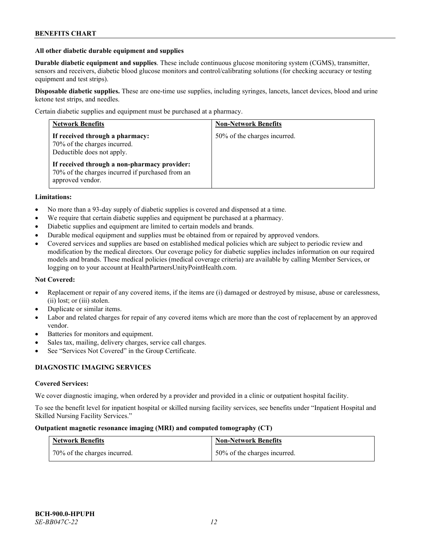### **All other diabetic durable equipment and supplies**

**Durable diabetic equipment and supplies**. These include continuous glucose monitoring system (CGMS), transmitter, sensors and receivers, diabetic blood glucose monitors and control/calibrating solutions (for checking accuracy or testing equipment and test strips).

**Disposable diabetic supplies.** These are one-time use supplies, including syringes, lancets, lancet devices, blood and urine ketone test strips, and needles.

Certain diabetic supplies and equipment must be purchased at a pharmacy.

| <b>Network Benefits</b>                                                                                              | <b>Non-Network Benefits</b>  |
|----------------------------------------------------------------------------------------------------------------------|------------------------------|
| If received through a pharmacy:<br>70% of the charges incurred.<br>Deductible does not apply.                        | 50% of the charges incurred. |
| If received through a non-pharmacy provider:<br>70% of the charges incurred if purchased from an<br>approved vendor. |                              |

### **Limitations:**

- No more than a 93-day supply of diabetic supplies is covered and dispensed at a time.
- We require that certain diabetic supplies and equipment be purchased at a pharmacy.
- Diabetic supplies and equipment are limited to certain models and brands.
- Durable medical equipment and supplies must be obtained from or repaired by approved vendors.
- Covered services and supplies are based on established medical policies which are subject to periodic review and modification by the medical directors. Our coverage policy for diabetic supplies includes information on our required models and brands. These medical policies (medical coverage criteria) are available by calling Member Services, or logging on to your account at [HealthPartnersUnityPointHealth.com.](https://www.healthpartnersunitypointhealth.com/)

#### **Not Covered:**

- Replacement or repair of any covered items, if the items are (i) damaged or destroyed by misuse, abuse or carelessness, (ii) lost; or (iii) stolen.
- Duplicate or similar items.
- Labor and related charges for repair of any covered items which are more than the cost of replacement by an approved vendor.
- Batteries for monitors and equipment.
- Sales tax, mailing, delivery charges, service call charges.
- See "Services Not Covered" in the Group Certificate.

# **DIAGNOSTIC IMAGING SERVICES**

#### **Covered Services:**

We cover diagnostic imaging, when ordered by a provider and provided in a clinic or outpatient hospital facility.

To see the benefit level for inpatient hospital or skilled nursing facility services, see benefits under "Inpatient Hospital and Skilled Nursing Facility Services."

### **Outpatient magnetic resonance imaging (MRI) and computed tomography (CT)**

| <b>Network Benefits</b>      | <b>Non-Network Benefits</b>  |
|------------------------------|------------------------------|
| 70% of the charges incurred. | 50% of the charges incurred. |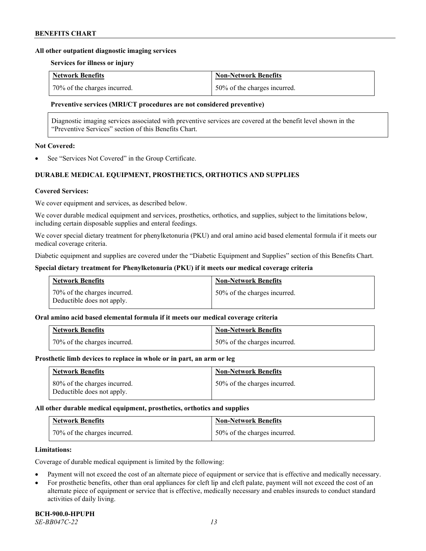### **All other outpatient diagnostic imaging services**

### **Services for illness or injury**

| <b>Network Benefits</b>      | <b>Non-Network Benefits</b>  |
|------------------------------|------------------------------|
| 70% of the charges incurred. | 50% of the charges incurred. |

### **Preventive services (MRI/CT procedures are not considered preventive)**

Diagnostic imaging services associated with preventive services are covered at the benefit level shown in the "Preventive Services" section of this Benefits Chart.

### **Not Covered:**

See "Services Not Covered" in the Group Certificate.

# **DURABLE MEDICAL EQUIPMENT, PROSTHETICS, ORTHOTICS AND SUPPLIES**

### **Covered Services:**

We cover equipment and services, as described below.

We cover durable medical equipment and services, prosthetics, orthotics, and supplies, subject to the limitations below, including certain disposable supplies and enteral feedings.

We cover special dietary treatment for phenylketonuria (PKU) and oral amino acid based elemental formula if it meets our medical coverage criteria.

Diabetic equipment and supplies are covered under the "Diabetic Equipment and Supplies" section of this Benefits Chart.

### **Special dietary treatment for Phenylketonuria (PKU) if it meets our medical coverage criteria**

| <b>Network Benefits</b>                                    | <b>Non-Network Benefits</b>  |
|------------------------------------------------------------|------------------------------|
| 70% of the charges incurred.<br>Deductible does not apply. | 50% of the charges incurred. |

#### **Oral amino acid based elemental formula if it meets our medical coverage criteria**

| Network Benefits             | <b>Non-Network Benefits</b>  |
|------------------------------|------------------------------|
| 70% of the charges incurred. | 50% of the charges incurred. |

#### **Prosthetic limb devices to replace in whole or in part, an arm or leg**

| <b>Network Benefits</b>                                    | <b>Non-Network Benefits</b>  |
|------------------------------------------------------------|------------------------------|
| 80% of the charges incurred.<br>Deductible does not apply. | 50% of the charges incurred. |

#### **All other durable medical equipment, prosthetics, orthotics and supplies**

| <b>Network Benefits</b>      | <b>Non-Network Benefits</b>  |
|------------------------------|------------------------------|
| 70% of the charges incurred. | 50% of the charges incurred. |

#### **Limitations:**

Coverage of durable medical equipment is limited by the following:

- Payment will not exceed the cost of an alternate piece of equipment or service that is effective and medically necessary.
- For prosthetic benefits, other than oral appliances for cleft lip and cleft palate, payment will not exceed the cost of an alternate piece of equipment or service that is effective, medically necessary and enables insureds to conduct standard activities of daily living.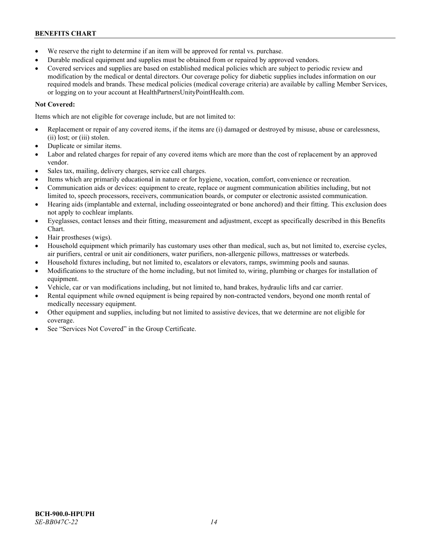- We reserve the right to determine if an item will be approved for rental vs. purchase.
- Durable medical equipment and supplies must be obtained from or repaired by approved vendors.
- Covered services and supplies are based on established medical policies which are subject to periodic review and modification by the medical or dental directors. Our coverage policy for diabetic supplies includes information on our required models and brands. These medical policies (medical coverage criteria) are available by calling Member Services, or logging on to your account at [HealthPartnersUnityPointHealth.com.](https://www.healthpartnersunitypointhealth.com/)

# **Not Covered:**

Items which are not eligible for coverage include, but are not limited to:

- Replacement or repair of any covered items, if the items are (i) damaged or destroyed by misuse, abuse or carelessness, (ii) lost; or (iii) stolen.
- Duplicate or similar items.
- Labor and related charges for repair of any covered items which are more than the cost of replacement by an approved vendor.
- Sales tax, mailing, delivery charges, service call charges.
- Items which are primarily educational in nature or for hygiene, vocation, comfort, convenience or recreation.
- Communication aids or devices: equipment to create, replace or augment communication abilities including, but not limited to, speech processors, receivers, communication boards, or computer or electronic assisted communication.
- Hearing aids (implantable and external, including osseointegrated or bone anchored) and their fitting. This exclusion does not apply to cochlear implants.
- Eyeglasses, contact lenses and their fitting, measurement and adjustment, except as specifically described in this Benefits Chart.
- Hair prostheses (wigs).
- Household equipment which primarily has customary uses other than medical, such as, but not limited to, exercise cycles, air purifiers, central or unit air conditioners, water purifiers, non-allergenic pillows, mattresses or waterbeds.
- Household fixtures including, but not limited to, escalators or elevators, ramps, swimming pools and saunas.
- Modifications to the structure of the home including, but not limited to, wiring, plumbing or charges for installation of equipment.
- Vehicle, car or van modifications including, but not limited to, hand brakes, hydraulic lifts and car carrier.
- Rental equipment while owned equipment is being repaired by non-contracted vendors, beyond one month rental of medically necessary equipment.
- Other equipment and supplies, including but not limited to assistive devices, that we determine are not eligible for coverage.
- See "Services Not Covered" in the Group Certificate.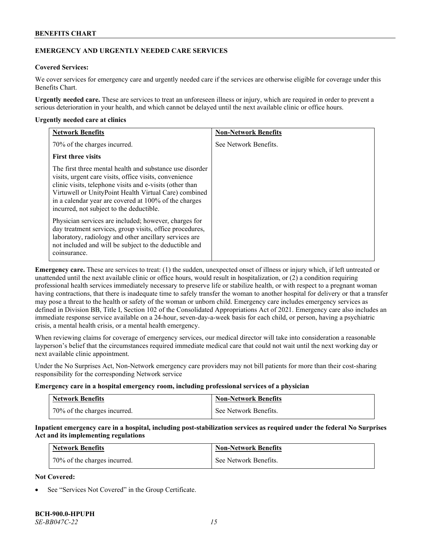# **EMERGENCY AND URGENTLY NEEDED CARE SERVICES**

# **Covered Services:**

We cover services for emergency care and urgently needed care if the services are otherwise eligible for coverage under this Benefits Chart.

**Urgently needed care.** These are services to treat an unforeseen illness or injury, which are required in order to prevent a serious deterioration in your health, and which cannot be delayed until the next available clinic or office hours.

### **Urgently needed care at clinics**

| <b>Network Benefits</b>                                                                                                                                                                                                                                                                                                                      | <b>Non-Network Benefits</b> |
|----------------------------------------------------------------------------------------------------------------------------------------------------------------------------------------------------------------------------------------------------------------------------------------------------------------------------------------------|-----------------------------|
| 70% of the charges incurred.                                                                                                                                                                                                                                                                                                                 | See Network Benefits.       |
| <b>First three visits</b>                                                                                                                                                                                                                                                                                                                    |                             |
| The first three mental health and substance use disorder<br>visits, urgent care visits, office visits, convenience<br>clinic visits, telephone visits and e-visits (other than<br>Virtuwell or UnityPoint Health Virtual Care) combined<br>in a calendar year are covered at 100% of the charges<br>incurred, not subject to the deductible. |                             |
| Physician services are included; however, charges for<br>day treatment services, group visits, office procedures,<br>laboratory, radiology and other ancillary services are<br>not included and will be subject to the deductible and<br>coinsurance.                                                                                        |                             |

**Emergency care.** These are services to treat: (1) the sudden, unexpected onset of illness or injury which, if left untreated or unattended until the next available clinic or office hours, would result in hospitalization, or (2) a condition requiring professional health services immediately necessary to preserve life or stabilize health, or with respect to a pregnant woman having contractions, that there is inadequate time to safely transfer the woman to another hospital for delivery or that a transfer may pose a threat to the health or safety of the woman or unborn child. Emergency care includes emergency services as defined in Division BB, Title I, Section 102 of the Consolidated Appropriations Act of 2021. Emergency care also includes an immediate response service available on a 24-hour, seven-day-a-week basis for each child, or person, having a psychiatric crisis, a mental health crisis, or a mental health emergency.

When reviewing claims for coverage of emergency services, our medical director will take into consideration a reasonable layperson's belief that the circumstances required immediate medical care that could not wait until the next working day or next available clinic appointment.

Under the No Surprises Act, Non-Network emergency care providers may not bill patients for more than their cost-sharing responsibility for the corresponding Network service

### **Emergency care in a hospital emergency room, including professional services of a physician**

| <b>Network Benefits</b>      | <b>Non-Network Benefits</b> |
|------------------------------|-----------------------------|
| 70% of the charges incurred. | See Network Benefits.       |

**Inpatient emergency care in a hospital, including post-stabilization services as required under the federal No Surprises Act and its implementing regulations**

| <b>Network Benefits</b>      | <b>Non-Network Benefits</b> |
|------------------------------|-----------------------------|
| 70% of the charges incurred. | See Network Benefits.       |

# **Not Covered:**

See "Services Not Covered" in the Group Certificate.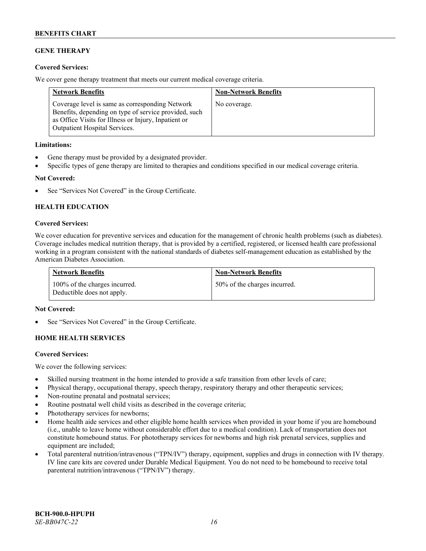# **GENE THERAPY**

# **Covered Services:**

We cover gene therapy treatment that meets our current medical coverage criteria.

| <b>Network Benefits</b>                                                                                                                                                                                  | <b>Non-Network Benefits</b> |
|----------------------------------------------------------------------------------------------------------------------------------------------------------------------------------------------------------|-----------------------------|
| Coverage level is same as corresponding Network<br>Benefits, depending on type of service provided, such<br>as Office Visits for Illness or Injury, Inpatient or<br><b>Outpatient Hospital Services.</b> | No coverage.                |

### **Limitations:**

- Gene therapy must be provided by a designated provider.
- Specific types of gene therapy are limited to therapies and conditions specified in our medical coverage criteria.

# **Not Covered:**

See "Services Not Covered" in the Group Certificate.

# **HEALTH EDUCATION**

### **Covered Services:**

We cover education for preventive services and education for the management of chronic health problems (such as diabetes). Coverage includes medical nutrition therapy, that is provided by a certified, registered, or licensed health care professional working in a program consistent with the national standards of diabetes self-management education as established by the American Diabetes Association.

| <b>Network Benefits</b>                                     | <b>Non-Network Benefits</b>  |
|-------------------------------------------------------------|------------------------------|
| 100% of the charges incurred.<br>Deductible does not apply. | 50% of the charges incurred. |

#### **Not Covered:**

See "Services Not Covered" in the Group Certificate.

# **HOME HEALTH SERVICES**

#### **Covered Services:**

We cover the following services:

- Skilled nursing treatment in the home intended to provide a safe transition from other levels of care;
- Physical therapy, occupational therapy, speech therapy, respiratory therapy and other therapeutic services;
- Non-routine prenatal and postnatal services;
- Routine postnatal well child visits as described in the coverage criteria;
- Phototherapy services for newborns;
- Home health aide services and other eligible home health services when provided in your home if you are homebound (i.e., unable to leave home without considerable effort due to a medical condition). Lack of transportation does not constitute homebound status. For phototherapy services for newborns and high risk prenatal services, supplies and equipment are included;
- Total parenteral nutrition/intravenous ("TPN/IV") therapy, equipment, supplies and drugs in connection with IV therapy. IV line care kits are covered under Durable Medical Equipment. You do not need to be homebound to receive total parenteral nutrition/intravenous ("TPN/IV") therapy.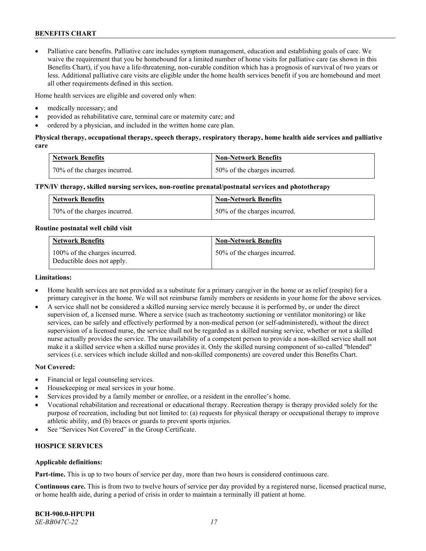• Palliative care benefits. Palliative care includes symptom management, education and establishing goals of care. We waive the requirement that you be homebound for a limited number of home visits for palliative care (as shown in this Benefits Chart), if you have a life-threatening, non-curable condition which has a prognosis of survival of two years or less. Additional palliative care visits are eligible under the home health services benefit if you are homebound and meet all other requirements defined in this section.

Home health services are eligible and covered only when:

- medically necessary; and
- provided as rehabilitative care, terminal care or maternity care; and
- ordered by a physician, and included in the written home care plan.

# **Physical therapy, occupational therapy, speech therapy, respiratory therapy, home health aide services and palliative care**

| <b>Network Benefits</b>      | <b>Non-Network Benefits</b>  |
|------------------------------|------------------------------|
| 70% of the charges incurred. | 50% of the charges incurred. |

### **TPN/IV therapy, skilled nursing services, non-routine prenatal/postnatal services and phototherapy**

| Network Benefits             | <b>Non-Network Benefits</b>  |
|------------------------------|------------------------------|
| 70% of the charges incurred. | 50% of the charges incurred. |

### **Routine postnatal well child visit**

| <b>Network Benefits</b>                                     | <b>Non-Network Benefits</b>  |
|-------------------------------------------------------------|------------------------------|
| 100% of the charges incurred.<br>Deductible does not apply. | 50% of the charges incurred. |

### **Limitations:**

- Home health services are not provided as a substitute for a primary caregiver in the home or as relief (respite) for a primary caregiver in the home. We will not reimburse family members or residents in your home for the above services.
- A service shall not be considered a skilled nursing service merely because it is performed by, or under the direct supervision of, a licensed nurse. Where a service (such as tracheotomy suctioning or ventilator monitoring) or like services, can be safely and effectively performed by a non-medical person (or self-administered), without the direct supervision of a licensed nurse, the service shall not be regarded as a skilled nursing service, whether or not a skilled nurse actually provides the service. The unavailability of a competent person to provide a non-skilled service shall not make it a skilled service when a skilled nurse provides it. Only the skilled nursing component of so-called "blended" services (i.e. services which include skilled and non-skilled components) are covered under this Benefits Chart.

#### **Not Covered:**

- Financial or legal counseling services.
- Housekeeping or meal services in your home.
- Services provided by a family member or enrollee, or a resident in the enrollee's home.
- Vocational rehabilitation and recreational or educational therapy. Recreation therapy is therapy provided solely for the purpose of recreation, including but not limited to: (a) requests for physical therapy or occupational therapy to improve athletic ability, and (b) braces or guards to prevent sports injuries.
- See "Services Not Covered" in the Group Certificate.

# **HOSPICE SERVICES**

# **Applicable definitions:**

**Part-time.** This is up to two hours of service per day, more than two hours is considered continuous care.

**Continuous care.** This is from two to twelve hours of service per day provided by a registered nurse, licensed practical nurse, or home health aide, during a period of crisis in order to maintain a terminally ill patient at home.

**BCH-900.0-HPUPH** *SE-BB047C-22 17*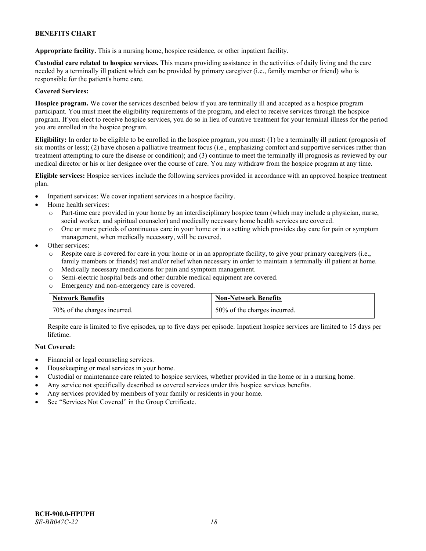**Appropriate facility.** This is a nursing home, hospice residence, or other inpatient facility.

**Custodial care related to hospice services.** This means providing assistance in the activities of daily living and the care needed by a terminally ill patient which can be provided by primary caregiver (i.e., family member or friend) who is responsible for the patient's home care.

# **Covered Services:**

**Hospice program.** We cover the services described below if you are terminally ill and accepted as a hospice program participant. You must meet the eligibility requirements of the program, and elect to receive services through the hospice program. If you elect to receive hospice services, you do so in lieu of curative treatment for your terminal illness for the period you are enrolled in the hospice program.

**Eligibility:** In order to be eligible to be enrolled in the hospice program, you must: (1) be a terminally ill patient (prognosis of six months or less); (2) have chosen a palliative treatment focus (i.e., emphasizing comfort and supportive services rather than treatment attempting to cure the disease or condition); and (3) continue to meet the terminally ill prognosis as reviewed by our medical director or his or her designee over the course of care. You may withdraw from the hospice program at any time.

**Eligible services:** Hospice services include the following services provided in accordance with an approved hospice treatment plan.

- Inpatient services: We cover inpatient services in a hospice facility.
- Home health services:
	- o Part-time care provided in your home by an interdisciplinary hospice team (which may include a physician, nurse, social worker, and spiritual counselor) and medically necessary home health services are covered.
	- o One or more periods of continuous care in your home or in a setting which provides day care for pain or symptom management, when medically necessary, will be covered.
- Other services:
	- o Respite care is covered for care in your home or in an appropriate facility, to give your primary caregivers (i.e., family members or friends) rest and/or relief when necessary in order to maintain a terminally ill patient at home.
	- o Medically necessary medications for pain and symptom management.
	- o Semi-electric hospital beds and other durable medical equipment are covered.
	- o Emergency and non-emergency care is covered.

| <b>Network Benefits</b>      | <b>Non-Network Benefits</b>  |
|------------------------------|------------------------------|
| 70% of the charges incurred. | 50% of the charges incurred. |

Respite care is limited to five episodes, up to five days per episode. Inpatient hospice services are limited to 15 days per lifetime.

# **Not Covered:**

- Financial or legal counseling services.
- Housekeeping or meal services in your home.
- Custodial or maintenance care related to hospice services, whether provided in the home or in a nursing home.
- Any service not specifically described as covered services under this hospice services benefits.
- Any services provided by members of your family or residents in your home.
- See "Services Not Covered" in the Group Certificate.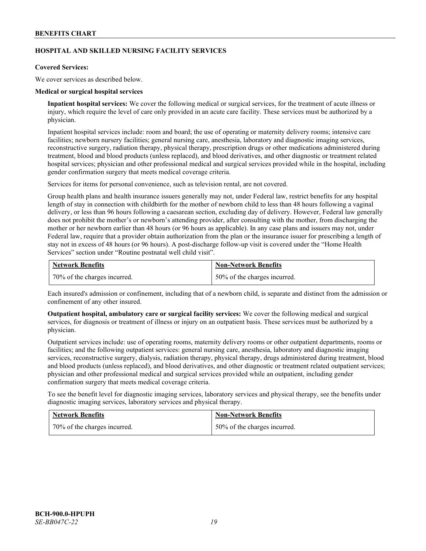# **HOSPITAL AND SKILLED NURSING FACILITY SERVICES**

### **Covered Services:**

We cover services as described below.

### **Medical or surgical hospital services**

**Inpatient hospital services:** We cover the following medical or surgical services, for the treatment of acute illness or injury, which require the level of care only provided in an acute care facility. These services must be authorized by a physician.

Inpatient hospital services include: room and board; the use of operating or maternity delivery rooms; intensive care facilities; newborn nursery facilities; general nursing care, anesthesia, laboratory and diagnostic imaging services, reconstructive surgery, radiation therapy, physical therapy, prescription drugs or other medications administered during treatment, blood and blood products (unless replaced), and blood derivatives, and other diagnostic or treatment related hospital services; physician and other professional medical and surgical services provided while in the hospital, including gender confirmation surgery that meets medical coverage criteria.

Services for items for personal convenience, such as television rental, are not covered.

Group health plans and health insurance issuers generally may not, under Federal law, restrict benefits for any hospital length of stay in connection with childbirth for the mother of newborn child to less than 48 hours following a vaginal delivery, or less than 96 hours following a caesarean section, excluding day of delivery. However, Federal law generally does not prohibit the mother's or newborn's attending provider, after consulting with the mother, from discharging the mother or her newborn earlier than 48 hours (or 96 hours as applicable). In any case plans and issuers may not, under Federal law, require that a provider obtain authorization from the plan or the insurance issuer for prescribing a length of stay not in excess of 48 hours (or 96 hours). A post-discharge follow-up visit is covered under the "Home Health Services" section under "Routine postnatal well child visit".

| <b>Network Benefits</b>      | <b>Non-Network Benefits</b>  |
|------------------------------|------------------------------|
| 70% of the charges incurred. | 50% of the charges incurred. |

Each insured's admission or confinement, including that of a newborn child, is separate and distinct from the admission or confinement of any other insured.

**Outpatient hospital, ambulatory care or surgical facility services:** We cover the following medical and surgical services, for diagnosis or treatment of illness or injury on an outpatient basis. These services must be authorized by a physician.

Outpatient services include: use of operating rooms, maternity delivery rooms or other outpatient departments, rooms or facilities; and the following outpatient services: general nursing care, anesthesia, laboratory and diagnostic imaging services, reconstructive surgery, dialysis, radiation therapy, physical therapy, drugs administered during treatment, blood and blood products (unless replaced), and blood derivatives, and other diagnostic or treatment related outpatient services; physician and other professional medical and surgical services provided while an outpatient, including gender confirmation surgery that meets medical coverage criteria.

To see the benefit level for diagnostic imaging services, laboratory services and physical therapy, see the benefits under diagnostic imaging services, laboratory services and physical therapy.

| <b>Network Benefits</b>      | <b>Non-Network Benefits</b>  |
|------------------------------|------------------------------|
| 70% of the charges incurred. | 50% of the charges incurred. |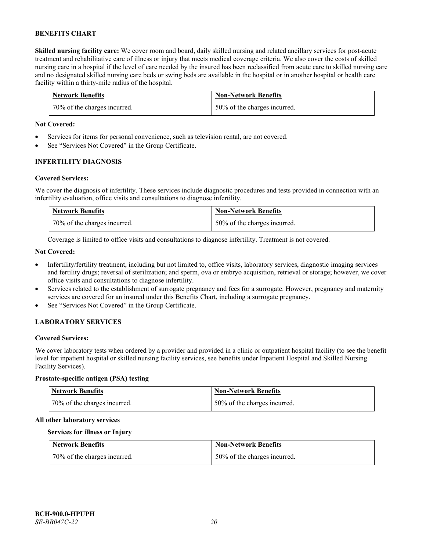**Skilled nursing facility care:** We cover room and board, daily skilled nursing and related ancillary services for post-acute treatment and rehabilitative care of illness or injury that meets medical coverage criteria. We also cover the costs of skilled nursing care in a hospital if the level of care needed by the insured has been reclassified from acute care to skilled nursing care and no designated skilled nursing care beds or swing beds are available in the hospital or in another hospital or health care facility within a thirty-mile radius of the hospital.

| <b>Network Benefits</b>      | <b>Non-Network Benefits</b>  |
|------------------------------|------------------------------|
| 70% of the charges incurred. | 50% of the charges incurred. |

### **Not Covered:**

- Services for items for personal convenience, such as television rental, are not covered.
- See "Services Not Covered" in the Group Certificate.

### **INFERTILITY DIAGNOSIS**

### **Covered Services:**

We cover the diagnosis of infertility. These services include diagnostic procedures and tests provided in connection with an infertility evaluation, office visits and consultations to diagnose infertility.

| <b>Network Benefits</b>      | <b>Non-Network Benefits</b>  |
|------------------------------|------------------------------|
| 70% of the charges incurred. | 50% of the charges incurred. |

Coverage is limited to office visits and consultations to diagnose infertility. Treatment is not covered.

### **Not Covered:**

- Infertility/fertility treatment, including but not limited to, office visits, laboratory services, diagnostic imaging services and fertility drugs; reversal of sterilization; and sperm, ova or embryo acquisition, retrieval or storage; however, we cover office visits and consultations to diagnose infertility.
- Services related to the establishment of surrogate pregnancy and fees for a surrogate. However, pregnancy and maternity services are covered for an insured under this Benefits Chart, including a surrogate pregnancy.
- See "Services Not Covered" in the Group Certificate.

# **LABORATORY SERVICES**

#### **Covered Services:**

We cover laboratory tests when ordered by a provider and provided in a clinic or outpatient hospital facility (to see the benefit level for inpatient hospital or skilled nursing facility services, see benefits under Inpatient Hospital and Skilled Nursing Facility Services).

### **Prostate-specific antigen (PSA) testing**

| <b>Network Benefits</b>      | <b>Non-Network Benefits</b>  |
|------------------------------|------------------------------|
| 70% of the charges incurred. | 50% of the charges incurred. |

#### **All other laboratory services**

### **Services for illness or Injury**

| <b>Network Benefits</b>      | <b>Non-Network Benefits</b>  |
|------------------------------|------------------------------|
| 70% of the charges incurred. | 50% of the charges incurred. |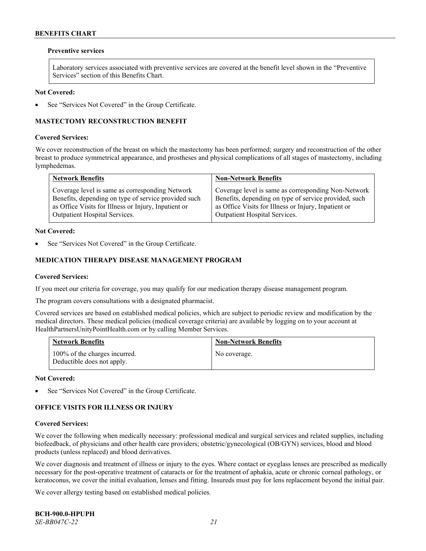### **Preventive services**

Laboratory services associated with preventive services are covered at the benefit level shown in the "Preventive Services" section of this Benefits Chart.

### **Not Covered:**

See "Services Not Covered" in the Group Certificate.

# **MASTECTOMY RECONSTRUCTION BENEFIT**

#### **Covered Services:**

We cover reconstruction of the breast on which the mastectomy has been performed; surgery and reconstruction of the other breast to produce symmetrical appearance, and prostheses and physical complications of all stages of mastectomy, including lymphedemas.

| <b>Network Benefits</b>                              | <b>Non-Network Benefits</b>                           |
|------------------------------------------------------|-------------------------------------------------------|
| Coverage level is same as corresponding Network      | Coverage level is same as corresponding Non-Network   |
| Benefits, depending on type of service provided such | Benefits, depending on type of service provided, such |
| as Office Visits for Illness or Injury, Inpatient or | as Office Visits for Illness or Injury, Inpatient or  |
| Outpatient Hospital Services.                        | Outpatient Hospital Services.                         |

### **Not Covered:**

See "Services Not Covered" in the Group Certificate.

# **MEDICATION THERAPY DISEASE MANAGEMENT PROGRAM**

### **Covered Services:**

If you meet our criteria for coverage, you may qualify for our medication therapy disease management program.

The program covers consultations with a designated pharmacist.

Covered services are based on established medical policies, which are subject to periodic review and modification by the medical directors. These medical policies (medical coverage criteria) are available by logging on to your account at [HealthPartnersUnityPointHealth.com](https://www.healthpartnersunitypointhealth.com/) or by calling Member Services.

| <b>Network Benefits</b>                                     | <b>Non-Network Benefits</b> |
|-------------------------------------------------------------|-----------------------------|
| 100% of the charges incurred.<br>Deductible does not apply. | No coverage.                |

**Not Covered:**

See "Services Not Covered" in the Group Certificate.

# **OFFICE VISITS FOR ILLNESS OR INJURY**

### **Covered Services:**

We cover the following when medically necessary: professional medical and surgical services and related supplies, including biofeedback, of physicians and other health care providers; obstetric/gynecological (OB/GYN) services, blood and blood products (unless replaced) and blood derivatives.

We cover diagnosis and treatment of illness or injury to the eyes. Where contact or eyeglass lenses are prescribed as medically necessary for the post-operative treatment of cataracts or for the treatment of aphakia, acute or chronic corneal pathology, or keratoconus, we cover the initial evaluation, lenses and fitting. Insureds must pay for lens replacement beyond the initial pair.

We cover allergy testing based on established medical policies.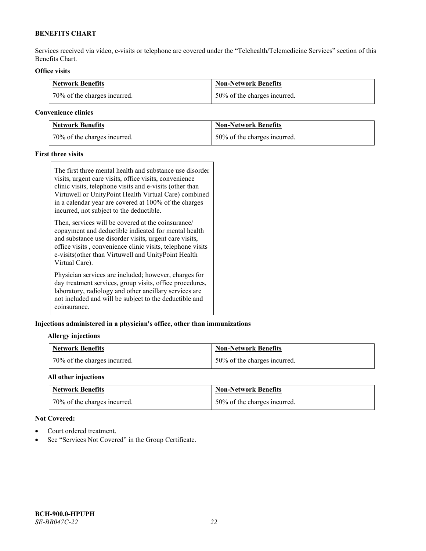Services received via video, e-visits or telephone are covered under the "Telehealth/Telemedicine Services" section of this Benefits Chart.

# **Office visits**

| <b>Network Benefits</b>      | <b>Non-Network Benefits</b>   |
|------------------------------|-------------------------------|
| 70% of the charges incurred. | 150% of the charges incurred. |

### **Convenience clinics**

| <b>Network Benefits</b>      | <b>Non-Network Benefits</b>  |
|------------------------------|------------------------------|
| 70% of the charges incurred. | 50% of the charges incurred. |

# **First three visits**

The first three mental health and substance use disorder visits, urgent care visits, office visits, convenience clinic visits, telephone visits and e-visits (other than Virtuwell or UnityPoint Health Virtual Care) combined in a calendar year are covered at 100% of the charges incurred, not subject to the deductible.

Then, services will be covered at the coinsurance/ copayment and deductible indicated for mental health and substance use disorder visits, urgent care visits, office visits , convenience clinic visits, telephone visits e-visits(other than Virtuwell and UnityPoint Health Virtual Care).

Physician services are included; however, charges for day treatment services, group visits, office procedures, laboratory, radiology and other ancillary services are not included and will be subject to the deductible and coinsurance.

# **Injections administered in a physician's office, other than immunizations**

# **Allergy injections**

| <b>Network Benefits</b>      | <b>Non-Network Benefits</b>  |
|------------------------------|------------------------------|
| 70% of the charges incurred. | 50% of the charges incurred. |

# **All other injections**

| Network Benefits             | <b>Non-Network Benefits</b>  |
|------------------------------|------------------------------|
| 70% of the charges incurred. | 50% of the charges incurred. |

### **Not Covered:**

- Court ordered treatment.
- See "Services Not Covered" in the Group Certificate.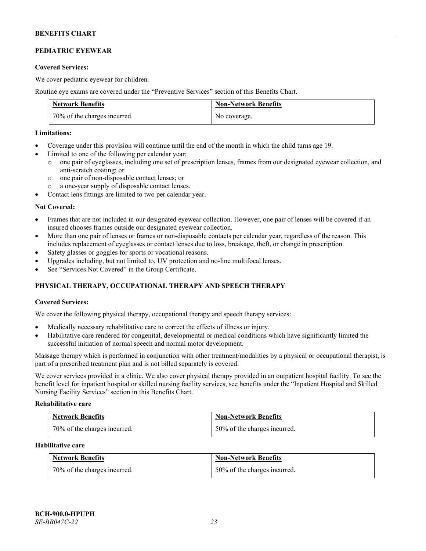# **PEDIATRIC EYEWEAR**

### **Covered Services:**

We cover pediatric eyewear for children.

Routine eye exams are covered under the "Preventive Services" section of this Benefits Chart.

| <b>Network Benefits</b>      | <b>Non-Network Benefits</b> |
|------------------------------|-----------------------------|
| 70% of the charges incurred. | No coverage.                |

### **Limitations:**

- Coverage under this provision will continue until the end of the month in which the child turns age 19.
- Limited to one of the following per calendar year:
	- o one pair of eyeglasses, including one set of prescription lenses, frames from our designated eyewear collection, and anti-scratch coating; or
	- o one pair of non-disposable contact lenses; or
	- o a one-year supply of disposable contact lenses.
- Contact lens fittings are limited to two per calendar year.

### **Not Covered:**

- Frames that are not included in our designated eyewear collection. However, one pair of lenses will be covered if an insured chooses frames outside our designated eyewear collection.
- More than one pair of lenses or frames or non-disposable contacts per calendar year, regardless of the reason. This includes replacement of eyeglasses or contact lenses due to loss, breakage, theft, or change in prescription.
- Safety glasses or goggles for sports or vocational reasons.
- Upgrades including, but not limited to, UV protection and no-line multifocal lenses.
- See "Services Not Covered" in the Group Certificate.

# **PHYSICAL THERAPY, OCCUPATIONAL THERAPY AND SPEECH THERAPY**

# **Covered Services:**

We cover the following physical therapy, occupational therapy and speech therapy services:

- Medically necessary rehabilitative care to correct the effects of illness or injury.
- Habilitative care rendered for congenital, developmental or medical conditions which have significantly limited the successful initiation of normal speech and normal motor development.

Massage therapy which is performed in conjunction with other treatment/modalities by a physical or occupational therapist, is part of a prescribed treatment plan and is not billed separately is covered.

We cover services provided in a clinic. We also cover physical therapy provided in an outpatient hospital facility. To see the benefit level for inpatient hospital or skilled nursing facility services, see benefits under the "Inpatient Hospital and Skilled Nursing Facility Services" section in this Benefits Chart.

#### **Rehabilitative care**

| <b>Network Benefits</b>      | <b>Non-Network Benefits</b>  |
|------------------------------|------------------------------|
| 70% of the charges incurred. | 50% of the charges incurred. |

# **Habilitative care**

| <b>Network Benefits</b>      | <b>Non-Network Benefits</b>  |
|------------------------------|------------------------------|
| 70% of the charges incurred. | 50% of the charges incurred. |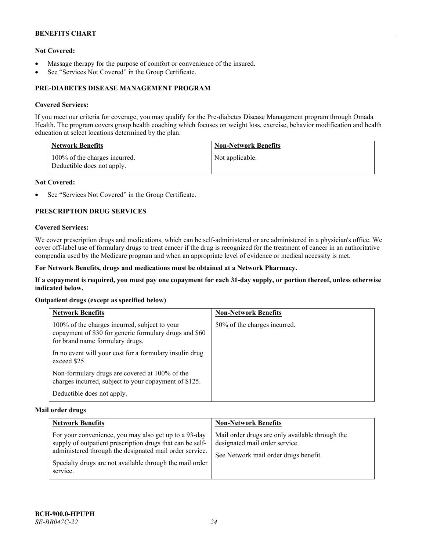# **Not Covered:**

- Massage therapy for the purpose of comfort or convenience of the insured.
- See "Services Not Covered" in the Group Certificate.

# **PRE-DIABETES DISEASE MANAGEMENT PROGRAM**

### **Covered Services:**

If you meet our criteria for coverage, you may qualify for the Pre-diabetes Disease Management program through Omada Health. The program covers group health coaching which focuses on weight loss, exercise, behavior modification and health education at select locations determined by the plan.

| <b>Network Benefits</b>                                     | <b>Non-Network Benefits</b> |
|-------------------------------------------------------------|-----------------------------|
| 100% of the charges incurred.<br>Deductible does not apply. | Not applicable.             |

### **Not Covered:**

See "Services Not Covered" in the Group Certificate.

### **PRESCRIPTION DRUG SERVICES**

### **Covered Services:**

We cover prescription drugs and medications, which can be self-administered or are administered in a physician's office. We cover off-label use of formulary drugs to treat cancer if the drug is recognized for the treatment of cancer in an authoritative compendia used by the Medicare program and when an appropriate level of evidence or medical necessity is met.

### **For Network Benefits, drugs and medications must be obtained at a Network Pharmacy.**

**If a copayment is required, you must pay one copayment for each 31-day supply, or portion thereof, unless otherwise indicated below.**

### **Outpatient drugs (except as specified below)**

| <b>Network Benefits</b>                                                                                                                    | <b>Non-Network Benefits</b>  |
|--------------------------------------------------------------------------------------------------------------------------------------------|------------------------------|
| 100% of the charges incurred, subject to your<br>copayment of \$30 for generic formulary drugs and \$60<br>for brand name formulary drugs. | 50% of the charges incurred. |
| In no event will your cost for a formulary insulin drug<br>exceed \$25.                                                                    |                              |
| Non-formulary drugs are covered at 100% of the<br>charges incurred, subject to your copayment of \$125.                                    |                              |
| Deductible does not apply.                                                                                                                 |                              |

#### **Mail order drugs**

| <b>Network Benefits</b>                                                                                                                                                                                                                               | <b>Non-Network Benefits</b>                                                                                                |
|-------------------------------------------------------------------------------------------------------------------------------------------------------------------------------------------------------------------------------------------------------|----------------------------------------------------------------------------------------------------------------------------|
| For your convenience, you may also get up to a 93-day<br>supply of outpatient prescription drugs that can be self-<br>administered through the designated mail order service.<br>Specialty drugs are not available through the mail order<br>service. | Mail order drugs are only available through the<br>designated mail order service.<br>See Network mail order drugs benefit. |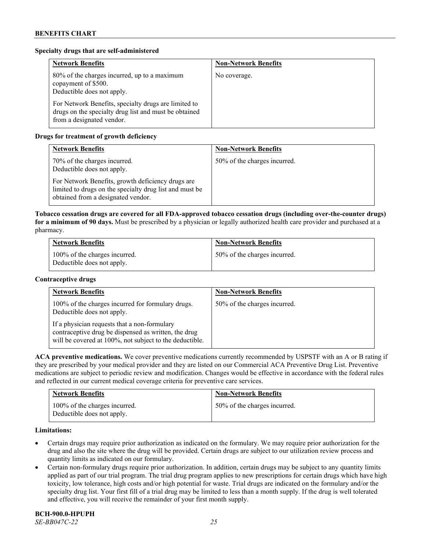# **Specialty drugs that are self-administered**

| <b>Network Benefits</b>                                                                                                                    | <b>Non-Network Benefits</b> |
|--------------------------------------------------------------------------------------------------------------------------------------------|-----------------------------|
| 80% of the charges incurred, up to a maximum<br>copayment of \$500.<br>Deductible does not apply.                                          | No coverage.                |
| For Network Benefits, specialty drugs are limited to<br>drugs on the specialty drug list and must be obtained<br>from a designated vendor. |                             |

# **Drugs for treatment of growth deficiency**

| <b>Network Benefits</b>                                                                                                                            | <b>Non-Network Benefits</b>  |
|----------------------------------------------------------------------------------------------------------------------------------------------------|------------------------------|
| 70% of the charges incurred.<br>Deductible does not apply.                                                                                         | 50% of the charges incurred. |
| For Network Benefits, growth deficiency drugs are<br>limited to drugs on the specialty drug list and must be<br>obtained from a designated vendor. |                              |

**Tobacco cessation drugs are covered for all FDA-approved tobacco cessation drugs (including over-the-counter drugs) for a minimum of 90 days.** Must be prescribed by a physician or legally authorized health care provider and purchased at a pharmacy.

| <b>Network Benefits</b>                                     | <b>Non-Network Benefits</b>  |
|-------------------------------------------------------------|------------------------------|
| 100% of the charges incurred.<br>Deductible does not apply. | 50% of the charges incurred. |

### **Contraceptive drugs**

| <b>Network Benefits</b>                                                                                                                                         | <b>Non-Network Benefits</b>  |
|-----------------------------------------------------------------------------------------------------------------------------------------------------------------|------------------------------|
| 100% of the charges incurred for formulary drugs.<br>Deductible does not apply.                                                                                 | 50% of the charges incurred. |
| If a physician requests that a non-formulary<br>contraceptive drug be dispensed as written, the drug<br>will be covered at 100%, not subject to the deductible. |                              |

**ACA preventive medications.** We cover preventive medications currently recommended by USPSTF with an A or B rating if they are prescribed by your medical provider and they are listed on our Commercial ACA Preventive Drug List. Preventive medications are subject to periodic review and modification. Changes would be effective in accordance with the federal rules and reflected in our current medical coverage criteria for preventive care services.

| <b>Network Benefits</b>                                     | <b>Non-Network Benefits</b>  |
|-------------------------------------------------------------|------------------------------|
| 100% of the charges incurred.<br>Deductible does not apply. | 50% of the charges incurred. |

### **Limitations:**

- Certain drugs may require prior authorization as indicated on the formulary. We may require prior authorization for the drug and also the site where the drug will be provided. Certain drugs are subject to our utilization review process and quantity limits as indicated on our formulary.
- Certain non-formulary drugs require prior authorization. In addition, certain drugs may be subject to any quantity limits applied as part of our trial program. The trial drug program applies to new prescriptions for certain drugs which have high toxicity, low tolerance, high costs and/or high potential for waste. Trial drugs are indicated on the formulary and/or the specialty drug list. Your first fill of a trial drug may be limited to less than a month supply. If the drug is well tolerated and effective, you will receive the remainder of your first month supply.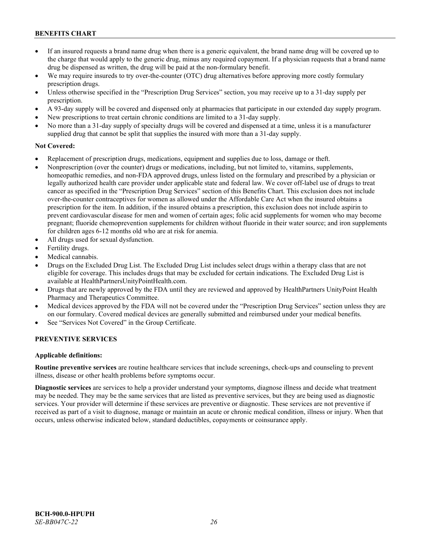- If an insured requests a brand name drug when there is a generic equivalent, the brand name drug will be covered up to the charge that would apply to the generic drug, minus any required copayment. If a physician requests that a brand name drug be dispensed as written, the drug will be paid at the non-formulary benefit.
- We may require insureds to try over-the-counter (OTC) drug alternatives before approving more costly formulary prescription drugs.
- Unless otherwise specified in the "Prescription Drug Services" section, you may receive up to a 31-day supply per prescription.
- A 93-day supply will be covered and dispensed only at pharmacies that participate in our extended day supply program.
- New prescriptions to treat certain chronic conditions are limited to a 31-day supply.
- No more than a 31-day supply of specialty drugs will be covered and dispensed at a time, unless it is a manufacturer supplied drug that cannot be split that supplies the insured with more than a 31-day supply.

### **Not Covered:**

- Replacement of prescription drugs, medications, equipment and supplies due to loss, damage or theft.
- Nonprescription (over the counter) drugs or medications, including, but not limited to, vitamins, supplements, homeopathic remedies, and non-FDA approved drugs, unless listed on the formulary and prescribed by a physician or legally authorized health care provider under applicable state and federal law. We cover off-label use of drugs to treat cancer as specified in the "Prescription Drug Services" section of this Benefits Chart. This exclusion does not include over-the-counter contraceptives for women as allowed under the Affordable Care Act when the insured obtains a prescription for the item. In addition, if the insured obtains a prescription, this exclusion does not include aspirin to prevent cardiovascular disease for men and women of certain ages; folic acid supplements for women who may become pregnant; fluoride chemoprevention supplements for children without fluoride in their water source; and iron supplements for children ages 6-12 months old who are at risk for anemia.
- All drugs used for sexual dysfunction.
- Fertility drugs.
- Medical cannabis.
- Drugs on the Excluded Drug List. The Excluded Drug List includes select drugs within a therapy class that are not eligible for coverage. This includes drugs that may be excluded for certain indications. The Excluded Drug List is available a[t HealthPartnersUnityPointHealth.com.](https://www.healthpartnersunitypointhealth.com/)
- Drugs that are newly approved by the FDA until they are reviewed and approved by HealthPartners UnityPoint Health Pharmacy and Therapeutics Committee.
- Medical devices approved by the FDA will not be covered under the "Prescription Drug Services" section unless they are on our formulary. Covered medical devices are generally submitted and reimbursed under your medical benefits.
- See "Services Not Covered" in the Group Certificate.

# **PREVENTIVE SERVICES**

#### **Applicable definitions:**

**Routine preventive services** are routine healthcare services that include screenings, check-ups and counseling to prevent illness, disease or other health problems before symptoms occur.

**Diagnostic services** are services to help a provider understand your symptoms, diagnose illness and decide what treatment may be needed. They may be the same services that are listed as preventive services, but they are being used as diagnostic services. Your provider will determine if these services are preventive or diagnostic. These services are not preventive if received as part of a visit to diagnose, manage or maintain an acute or chronic medical condition, illness or injury. When that occurs, unless otherwise indicated below, standard deductibles, copayments or coinsurance apply.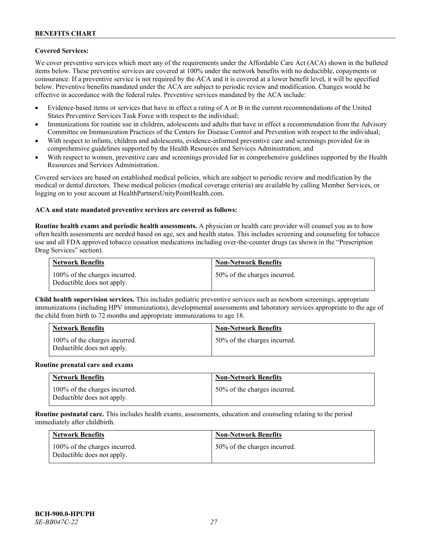# **Covered Services:**

We cover preventive services which meet any of the requirements under the Affordable Care Act (ACA) shown in the bulleted items below. These preventive services are covered at 100% under the network benefits with no deductible, copayments or coinsurance. If a preventive service is not required by the ACA and it is covered at a lower benefit level, it will be specified below. Preventive benefits mandated under the ACA are subject to periodic review and modification. Changes would be effective in accordance with the federal rules. Preventive services mandated by the ACA include:

- Evidence-based items or services that have in effect a rating of A or B in the current recommendations of the United States Preventive Services Task Force with respect to the individual;
- Immunizations for routine use in children, adolescents and adults that have in effect a recommendation from the Advisory Committee on Immunization Practices of the Centers for Disease Control and Prevention with respect to the individual;
- With respect to infants, children and adolescents, evidence-informed preventive care and screenings provided for in comprehensive guidelines supported by the Health Resources and Services Administration; and
- With respect to women, preventive care and screenings provided for in comprehensive guidelines supported by the Health Resources and Services Administration.

Covered services are based on established medical policies, which are subject to periodic review and modification by the medical or dental directors. These medical policies (medical coverage criteria) are available by calling Member Services, or logging on to your account at [HealthPartnersUnityPointHealth.com.](https://www.healthpartnersunitypointhealth.com/)

#### **ACA and state mandated preventive services are covered as follows:**

**Routine health exams and periodic health assessments.** A physician or health care provider will counsel you as to how often health assessments are needed based on age, sex and health status. This includes screening and counseling for tobacco use and all FDA approved tobacco cessation medications including over-the-counter drugs (as shown in the "Prescription Drug Services" section).

| <b>Network Benefits</b>                                     | <b>Non-Network Benefits</b>  |
|-------------------------------------------------------------|------------------------------|
| 100% of the charges incurred.<br>Deductible does not apply. | 50% of the charges incurred. |

**Child health supervision services.** This includes pediatric preventive services such as newborn screenings, appropriate immunizations (including HPV immunizations), developmental assessments and laboratory services appropriate to the age of the child from birth to 72 months and appropriate immunizations to age 18.

| <b>Network Benefits</b>                                     | <b>Non-Network Benefits</b>  |
|-------------------------------------------------------------|------------------------------|
| 100% of the charges incurred.<br>Deductible does not apply. | 50% of the charges incurred. |

#### **Routine prenatal care and exams**

| <b>Network Benefits</b>                                     | <b>Non-Network Benefits</b>  |
|-------------------------------------------------------------|------------------------------|
| 100% of the charges incurred.<br>Deductible does not apply. | 50% of the charges incurred. |

**Routine postnatal care.** This includes health exams, assessments, education and counseling relating to the period immediately after childbirth.

| <b>Network Benefits</b>                                     | <b>Non-Network Benefits</b>  |
|-------------------------------------------------------------|------------------------------|
| 100% of the charges incurred.<br>Deductible does not apply. | 50% of the charges incurred. |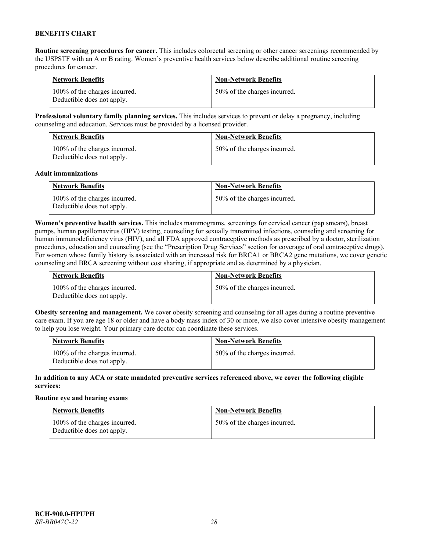**Routine screening procedures for cancer.** This includes colorectal screening or other cancer screenings recommended by the USPSTF with an A or B rating. Women's preventive health services below describe additional routine screening procedures for cancer.

| <b>Network Benefits</b>                                     | <b>Non-Network Benefits</b>  |
|-------------------------------------------------------------|------------------------------|
| 100% of the charges incurred.<br>Deductible does not apply. | 50% of the charges incurred. |

**Professional voluntary family planning services.** This includes services to prevent or delay a pregnancy, including counseling and education. Services must be provided by a licensed provider.

| <b>Network Benefits</b>                                     | <b>Non-Network Benefits</b>  |
|-------------------------------------------------------------|------------------------------|
| 100% of the charges incurred.<br>Deductible does not apply. | 50% of the charges incurred. |

#### **Adult immunizations**

| <b>Network Benefits</b>                                     | <b>Non-Network Benefits</b>  |
|-------------------------------------------------------------|------------------------------|
| 100% of the charges incurred.<br>Deductible does not apply. | 50% of the charges incurred. |

**Women's preventive health services.** This includes mammograms, screenings for cervical cancer (pap smears), breast pumps, human papillomavirus (HPV) testing, counseling for sexually transmitted infections, counseling and screening for human immunodeficiency virus (HIV), and all FDA approved contraceptive methods as prescribed by a doctor, sterilization procedures, education and counseling (see the "Prescription Drug Services" section for coverage of oral contraceptive drugs). For women whose family history is associated with an increased risk for BRCA1 or BRCA2 gene mutations, we cover genetic counseling and BRCA screening without cost sharing, if appropriate and as determined by a physician.

| <b>Network Benefits</b>                                     | <b>Non-Network Benefits</b>  |
|-------------------------------------------------------------|------------------------------|
| 100% of the charges incurred.<br>Deductible does not apply. | 50% of the charges incurred. |

**Obesity screening and management.** We cover obesity screening and counseling for all ages during a routine preventive care exam. If you are age 18 or older and have a body mass index of 30 or more, we also cover intensive obesity management to help you lose weight. Your primary care doctor can coordinate these services.

| <b>Network Benefits</b>                                     | <b>Non-Network Benefits</b>  |
|-------------------------------------------------------------|------------------------------|
| 100% of the charges incurred.<br>Deductible does not apply. | 50% of the charges incurred. |

### **In addition to any ACA or state mandated preventive services referenced above, we cover the following eligible services:**

#### **Routine eye and hearing exams**

| <b>Network Benefits</b>                                     | <b>Non-Network Benefits</b>  |
|-------------------------------------------------------------|------------------------------|
| 100% of the charges incurred.<br>Deductible does not apply. | 50% of the charges incurred. |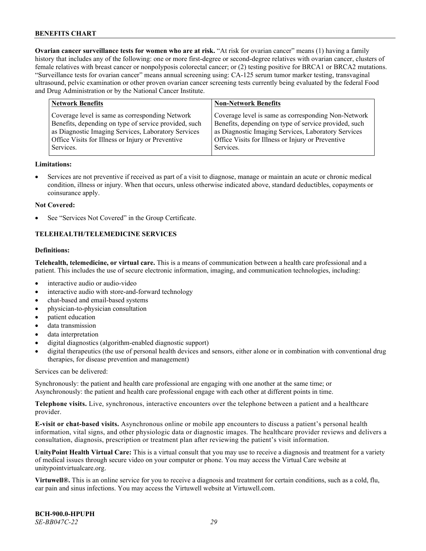**Ovarian cancer surveillance tests for women who are at risk.** "At risk for ovarian cancer" means (1) having a family history that includes any of the following: one or more first-degree or second-degree relatives with ovarian cancer, clusters of female relatives with breast cancer or nonpolyposis colorectal cancer; or (2) testing positive for BRCA1 or BRCA2 mutations. "Surveillance tests for ovarian cancer" means annual screening using: CA-125 serum tumor marker testing, transvaginal ultrasound, pelvic examination or other proven ovarian cancer screening tests currently being evaluated by the federal Food and Drug Administration or by the National Cancer Institute.

| <b>Network Benefits</b>                               | <b>Non-Network Benefits</b>                           |
|-------------------------------------------------------|-------------------------------------------------------|
| Coverage level is same as corresponding Network       | Coverage level is same as corresponding Non-Network   |
| Benefits, depending on type of service provided, such | Benefits, depending on type of service provided, such |
| as Diagnostic Imaging Services, Laboratory Services   | as Diagnostic Imaging Services, Laboratory Services   |
| Office Visits for Illness or Injury or Preventive     | Office Visits for Illness or Injury or Preventive     |
| Services.                                             | Services.                                             |

#### **Limitations:**

• Services are not preventive if received as part of a visit to diagnose, manage or maintain an acute or chronic medical condition, illness or injury. When that occurs, unless otherwise indicated above, standard deductibles, copayments or coinsurance apply.

#### **Not Covered:**

See "Services Not Covered" in the Group Certificate.

# **TELEHEALTH/TELEMEDICINE SERVICES**

### **Definitions:**

**Telehealth, telemedicine, or virtual care.** This is a means of communication between a health care professional and a patient. This includes the use of secure electronic information, imaging, and communication technologies, including:

- interactive audio or audio-video
- interactive audio with store-and-forward technology
- chat-based and email-based systems
- physician-to-physician consultation
- patient education
- data transmission
- data interpretation
- digital diagnostics (algorithm-enabled diagnostic support)
- digital therapeutics (the use of personal health devices and sensors, either alone or in combination with conventional drug therapies, for disease prevention and management)

Services can be delivered:

Synchronously: the patient and health care professional are engaging with one another at the same time; or Asynchronously: the patient and health care professional engage with each other at different points in time.

**Telephone visits.** Live, synchronous, interactive encounters over the telephone between a patient and a healthcare provider.

**E-visit or chat-based visits.** Asynchronous online or mobile app encounters to discuss a patient's personal health information, vital signs, and other physiologic data or diagnostic images. The healthcare provider reviews and delivers a consultation, diagnosis, prescription or treatment plan after reviewing the patient's visit information.

**UnityPoint Health Virtual Care:** This is a virtual consult that you may use to receive a diagnosis and treatment for a variety of medical issues through secure video on your computer or phone. You may access the Virtual Care website at [unitypointvirtualcare.org.](https://unitypointvirtualcare.org/landing.htm)

**Virtuwell®.** This is an online service for you to receive a diagnosis and treatment for certain conditions, such as a cold, flu, ear pain and sinus infections. You may access the Virtuwell website at [Virtuwell.com.](https://www.virtuwell.com/)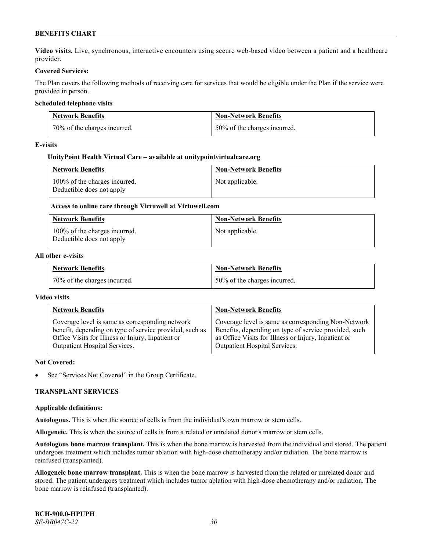**Video visits.** Live, synchronous, interactive encounters using secure web-based video between a patient and a healthcare provider.

### **Covered Services:**

The Plan covers the following methods of receiving care for services that would be eligible under the Plan if the service were provided in person.

### **Scheduled telephone visits**

| <b>Network Benefits</b>      | <b>Non-Network Benefits</b>  |
|------------------------------|------------------------------|
| 70% of the charges incurred. | 50% of the charges incurred. |

#### **E-visits**

### **UnityPoint Health Virtual Care – available a[t unitypointvirtualcare.org](http://www.unitypointvirtualcare.org/)**

| <b>Network Benefits</b>                                    | <b>Non-Network Benefits</b> |
|------------------------------------------------------------|-----------------------------|
| 100% of the charges incurred.<br>Deductible does not apply | Not applicable.             |

# **Access to online care through Virtuwell at [Virtuwell.com](http://www.virtuwell.com/)**

| <b>Network Benefits</b>                                    | <b>Non-Network Benefits</b> |
|------------------------------------------------------------|-----------------------------|
| 100% of the charges incurred.<br>Deductible does not apply | Not applicable.             |

#### **All other e-visits**

| <b>Network Benefits</b>      | <b>Non-Network Benefits</b>  |
|------------------------------|------------------------------|
| 70% of the charges incurred. | 50% of the charges incurred. |

#### **Video visits**

| <b>Network Benefits</b>                                 | <b>Non-Network Benefits</b>                           |
|---------------------------------------------------------|-------------------------------------------------------|
| Coverage level is same as corresponding network         | Coverage level is same as corresponding Non-Network   |
| benefit, depending on type of service provided, such as | Benefits, depending on type of service provided, such |
| Office Visits for Illness or Injury, Inpatient or       | as Office Visits for Illness or Injury, Inpatient or  |
| Outpatient Hospital Services.                           | Outpatient Hospital Services.                         |

#### **Not Covered:**

See "Services Not Covered" in the Group Certificate.

#### **TRANSPLANT SERVICES**

#### **Applicable definitions:**

**Autologous.** This is when the source of cells is from the individual's own marrow or stem cells.

**Allogeneic.** This is when the source of cells is from a related or unrelated donor's marrow or stem cells.

**Autologous bone marrow transplant.** This is when the bone marrow is harvested from the individual and stored. The patient undergoes treatment which includes tumor ablation with high-dose chemotherapy and/or radiation. The bone marrow is reinfused (transplanted).

**Allogeneic bone marrow transplant.** This is when the bone marrow is harvested from the related or unrelated donor and stored. The patient undergoes treatment which includes tumor ablation with high-dose chemotherapy and/or radiation. The bone marrow is reinfused (transplanted).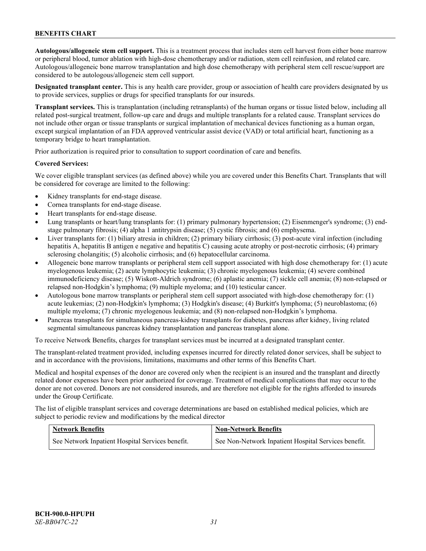**Autologous/allogeneic stem cell support.** This is a treatment process that includes stem cell harvest from either bone marrow or peripheral blood, tumor ablation with high-dose chemotherapy and/or radiation, stem cell reinfusion, and related care. Autologous/allogeneic bone marrow transplantation and high dose chemotherapy with peripheral stem cell rescue/support are considered to be autologous/allogeneic stem cell support.

**Designated transplant center.** This is any health care provider, group or association of health care providers designated by us to provide services, supplies or drugs for specified transplants for our insureds.

**Transplant services.** This is transplantation (including retransplants) of the human organs or tissue listed below, including all related post-surgical treatment, follow-up care and drugs and multiple transplants for a related cause. Transplant services do not include other organ or tissue transplants or surgical implantation of mechanical devices functioning as a human organ, except surgical implantation of an FDA approved ventricular assist device (VAD) or total artificial heart, functioning as a temporary bridge to heart transplantation.

Prior authorization is required prior to consultation to support coordination of care and benefits.

### **Covered Services:**

We cover eligible transplant services (as defined above) while you are covered under this Benefits Chart. Transplants that will be considered for coverage are limited to the following:

- Kidney transplants for end-stage disease.
- Cornea transplants for end-stage disease.
- Heart transplants for end-stage disease.
- Lung transplants or heart/lung transplants for: (1) primary pulmonary hypertension; (2) Eisenmenger's syndrome; (3) endstage pulmonary fibrosis; (4) alpha 1 antitrypsin disease; (5) cystic fibrosis; and (6) emphysema.
- Liver transplants for: (1) biliary atresia in children; (2) primary biliary cirrhosis; (3) post-acute viral infection (including hepatitis A, hepatitis B antigen e negative and hepatitis C) causing acute atrophy or post-necrotic cirrhosis; (4) primary sclerosing cholangitis; (5) alcoholic cirrhosis; and (6) hepatocellular carcinoma.
- Allogeneic bone marrow transplants or peripheral stem cell support associated with high dose chemotherapy for: (1) acute myelogenous leukemia; (2) acute lymphocytic leukemia; (3) chronic myelogenous leukemia; (4) severe combined immunodeficiency disease; (5) Wiskott-Aldrich syndrome; (6) aplastic anemia; (7) sickle cell anemia; (8) non-relapsed or relapsed non-Hodgkin's lymphoma; (9) multiple myeloma; and (10) testicular cancer.
- Autologous bone marrow transplants or peripheral stem cell support associated with high-dose chemotherapy for: (1) acute leukemias; (2) non-Hodgkin's lymphoma; (3) Hodgkin's disease; (4) Burkitt's lymphoma; (5) neuroblastoma; (6) multiple myeloma; (7) chronic myelogenous leukemia; and (8) non-relapsed non-Hodgkin's lymphoma.
- Pancreas transplants for simultaneous pancreas-kidney transplants for diabetes, pancreas after kidney, living related segmental simultaneous pancreas kidney transplantation and pancreas transplant alone.

To receive Network Benefits, charges for transplant services must be incurred at a designated transplant center.

The transplant-related treatment provided, including expenses incurred for directly related donor services, shall be subject to and in accordance with the provisions, limitations, maximums and other terms of this Benefits Chart.

Medical and hospital expenses of the donor are covered only when the recipient is an insured and the transplant and directly related donor expenses have been prior authorized for coverage. Treatment of medical complications that may occur to the donor are not covered. Donors are not considered insureds, and are therefore not eligible for the rights afforded to insureds under the Group Certificate.

The list of eligible transplant services and coverage determinations are based on established medical policies, which are subject to periodic review and modifications by the medical director

| <b>Network Benefits</b>                          | <b>Non-Network Benefits</b>                          |
|--------------------------------------------------|------------------------------------------------------|
| See Network Inpatient Hospital Services benefit. | See Non-Network Inpatient Hospital Services benefit. |